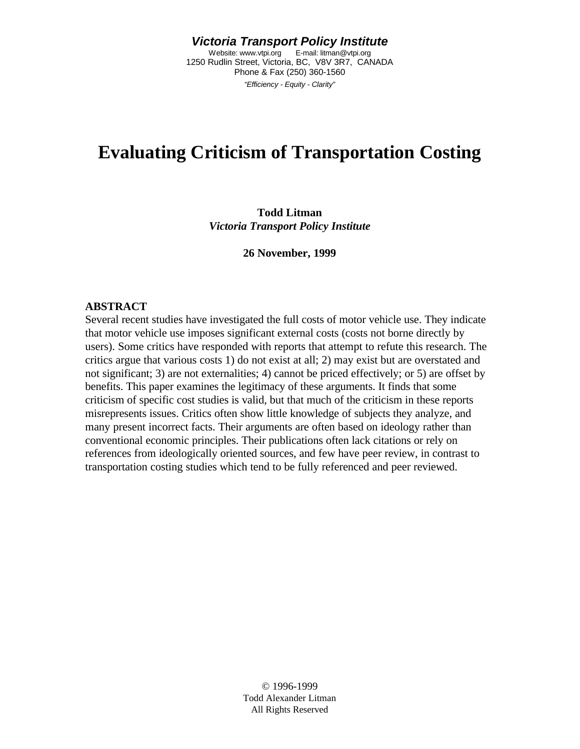*Victoria Transport Policy Institute* Website: www.vtpi.org E-mail: litman@vtpi.org 1250 Rudlin Street, Victoria, BC, V8V 3R7, CANADA Phone & Fax (250) 360-1560 *"Efficiency - Equity - Clarity"*

# **Evaluating Criticism of Transportation Costing**

#### **Todd Litman** *Victoria Transport Policy Institute*

**26 November, 1999**

#### **ABSTRACT**

Several recent studies have investigated the full costs of motor vehicle use. They indicate that motor vehicle use imposes significant external costs (costs not borne directly by users). Some critics have responded with reports that attempt to refute this research. The critics argue that various costs 1) do not exist at all; 2) may exist but are overstated and not significant; 3) are not externalities; 4) cannot be priced effectively; or 5) are offset by benefits. This paper examines the legitimacy of these arguments. It finds that some criticism of specific cost studies is valid, but that much of the criticism in these reports misrepresents issues. Critics often show little knowledge of subjects they analyze, and many present incorrect facts. Their arguments are often based on ideology rather than conventional economic principles. Their publications often lack citations or rely on references from ideologically oriented sources, and few have peer review, in contrast to transportation costing studies which tend to be fully referenced and peer reviewed.

> © 1996-1999 Todd Alexander Litman All Rights Reserved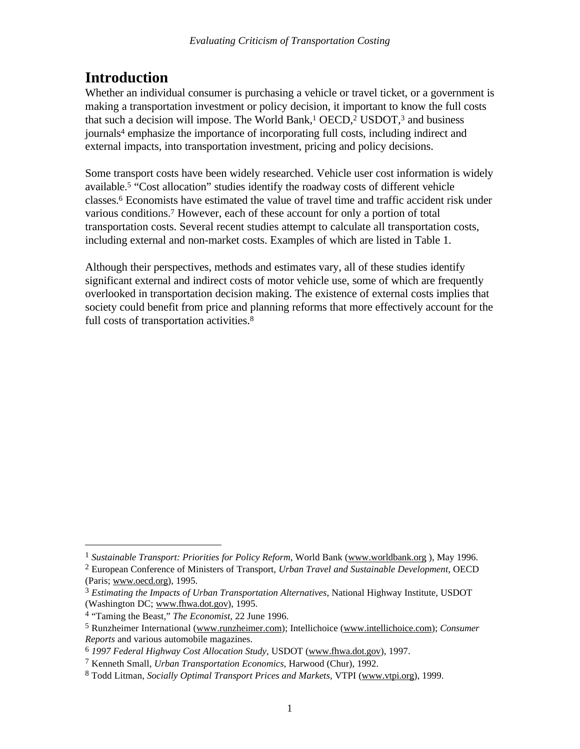## **Introduction**

Whether an individual consumer is purchasing a vehicle or travel ticket, or a government is making a transportation investment or policy decision, it important to know the full costs that such a decision will impose. The World Bank,<sup>1</sup> OECD,<sup>2</sup> USDOT,<sup>3</sup> and business journals<sup>4</sup> emphasize the importance of incorporating full costs, including indirect and external impacts, into transportation investment, pricing and policy decisions.

Some transport costs have been widely researched. Vehicle user cost information is widely available.<sup>5</sup> "Cost allocation" studies identify the roadway costs of different vehicle classes.<sup>6</sup> Economists have estimated the value of travel time and traffic accident risk under various conditions.<sup>7</sup> However, each of these account for only a portion of total transportation costs. Several recent studies attempt to calculate all transportation costs, including external and non-market costs. Examples of which are listed in Table 1.

Although their perspectives, methods and estimates vary, all of these studies identify significant external and indirect costs of motor vehicle use, some of which are frequently overlooked in transportation decision making. The existence of external costs implies that society could benefit from price and planning reforms that more effectively account for the full costs of transportation activities.<sup>8</sup>

-

<sup>1</sup> *Sustainable Transport: Priorities for Policy Reform*, World Bank (www.worldbank.org ), May 1996.

<sup>2</sup> European Conference of Ministers of Transport, *Urban Travel and Sustainable Development*, OECD (Paris; www.oecd.org), 1995.

<sup>3</sup> *Estimating the Impacts of Urban Transportation Alternatives*, National Highway Institute, USDOT (Washington DC; www.fhwa.dot.gov), 1995.

<sup>4</sup> "Taming the Beast," *The Economist*, 22 June 1996.

<sup>5</sup> Runzheimer International (www.runzheimer.com); Intellichoice (www.intellichoice.com); *Consumer Reports* and various automobile magazines.

<sup>6</sup> *1997 Federal Highway Cost Allocation Study*, USDOT (www.fhwa.dot.gov), 1997.

<sup>7</sup> Kenneth Small, *Urban Transportation Economics*, Harwood (Chur), 1992.

<sup>8</sup> Todd Litman, *Socially Optimal Transport Prices and Markets*, VTPI (www.vtpi.org), 1999.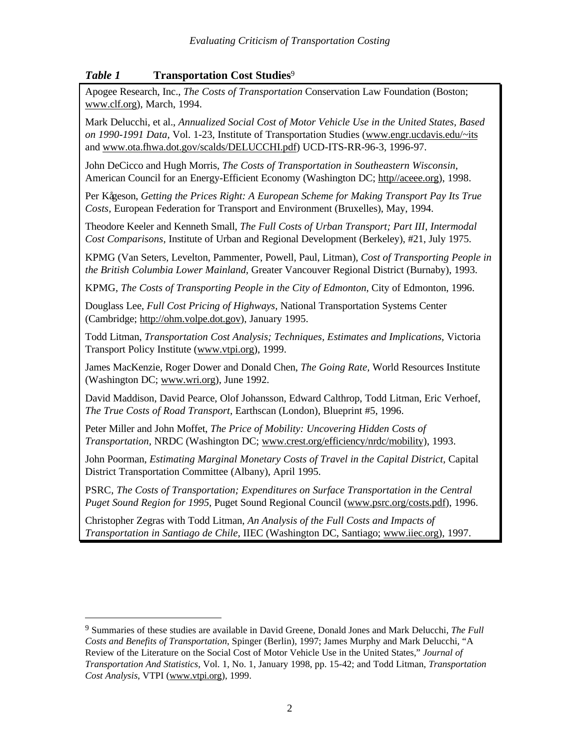## *Table 1* **Transportation Cost Studies**<sup>9</sup>

Apogee Research, Inc., *The Costs of Transportation* Conservation Law Foundation (Boston; www.clf.org), March, 1994.

Mark Delucchi, et al., *Annualized Social Cost of Motor Vehicle Use in the United States, Based on 1990-1991 Data*, Vol. 1-23, Institute of Transportation Studies (www.engr.ucdavis.edu/~its and www.ota.fhwa.dot.gov/scalds/DELUCCHI.pdf) UCD-ITS-RR-96-3, 1996-97.

John DeCicco and Hugh Morris, *The Costs of Transportation in Southeastern Wisconsin*, American Council for an Energy-Efficient Economy (Washington DC; http//aceee.org), 1998.

Per Kågeson, *Getting the Prices Right: A European Scheme for Making Transport Pay Its True Costs,* European Federation for Transport and Environment (Bruxelles), May, 1994.

Theodore Keeler and Kenneth Small, *The Full Costs of Urban Transport; Part III, Intermodal Cost Comparisons,* Institute of Urban and Regional Development (Berkeley), #21, July 1975.

KPMG (Van Seters, Levelton, Pammenter, Powell, Paul, Litman), *Cost of Transporting People in the British Columbia Lower Mainland,* Greater Vancouver Regional District (Burnaby), 1993.

KPMG, *The Costs of Transporting People in the City of Edmonton*, City of Edmonton, 1996.

Douglass Lee, *Full Cost Pricing of Highways,* National Transportation Systems Center (Cambridge; http://ohm.volpe.dot.gov), January 1995.

Todd Litman, *Transportation Cost Analysis; Techniques, Estimates and Implications*, Victoria Transport Policy Institute (www.vtpi.org), 1999.

James MacKenzie, Roger Dower and Donald Chen, *The Going Rate,* World Resources Institute (Washington DC; www.wri.org), June 1992.

David Maddison, David Pearce, Olof Johansson, Edward Calthrop, Todd Litman, Eric Verhoef, *The True Costs of Road Transport*, Earthscan (London), Blueprint #5, 1996.

Peter Miller and John Moffet, *The Price of Mobility: Uncovering Hidden Costs of Transportation,* NRDC (Washington DC; www.crest.org/efficiency/nrdc/mobility), 1993.

John Poorman, *Estimating Marginal Monetary Costs of Travel in the Capital District,* Capital District Transportation Committee (Albany), April 1995.

PSRC, *The Costs of Transportation; Expenditures on Surface Transportation in the Central Puget Sound Region for 1995*, Puget Sound Regional Council (www.psrc.org/costs.pdf), 1996.

Christopher Zegras with Todd Litman, *An Analysis of the Full Costs and Impacts of Transportation in Santiago de Chile,* IIEC (Washington DC, Santiago; www.iiec.org), 1997.

<sup>9</sup> Summaries of these studies are available in David Greene, Donald Jones and Mark Delucchi, *The Full Costs and Benefits of Transportation*, Spinger (Berlin), 1997; James Murphy and Mark Delucchi, "A Review of the Literature on the Social Cost of Motor Vehicle Use in the United States," *Journal of Transportation And Statistics*, Vol. 1, No. 1, January 1998, pp. 15-42; and Todd Litman, *Transportation Cost Analysis*, VTPI (www.vtpi.org), 1999.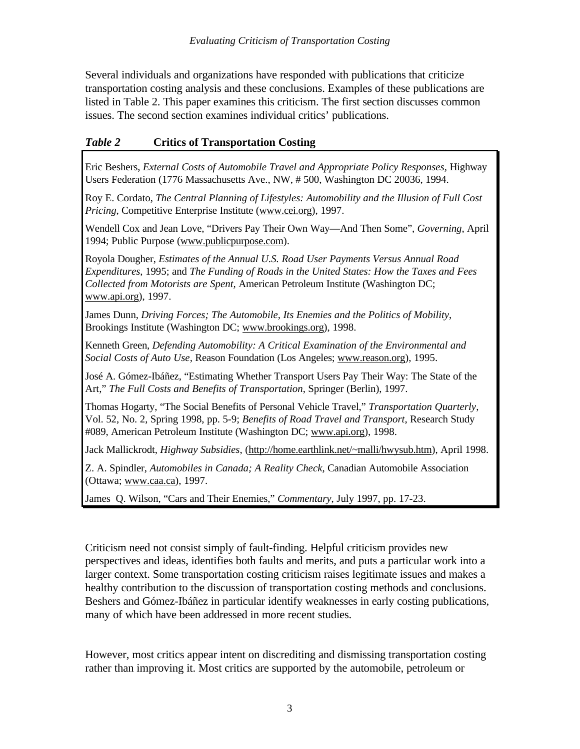Several individuals and organizations have responded with publications that criticize transportation costing analysis and these conclusions. Examples of these publications are listed in Table 2. This paper examines this criticism. The first section discusses common issues. The second section examines individual critics' publications.

## *Table 2* **Critics of Transportation Costing**

Eric Beshers, *External Costs of Automobile Travel and Appropriate Policy Responses,* Highway Users Federation (1776 Massachusetts Ave., NW, # 500, Washington DC 20036, 1994.

Roy E. Cordato, *The Central Planning of Lifestyles: Automobility and the Illusion of Full Cost Pricing*, Competitive Enterprise Institute (www.cei.org), 1997.

Wendell Cox and Jean Love, "Drivers Pay Their Own Way—And Then Some", *Governing*, April 1994; Public Purpose (www.publicpurpose.com).

Royola Dougher, *Estimates of the Annual U.S. Road User Payments Versus Annual Road Expenditures*, 1995; and *The Funding of Roads in the United States: How the Taxes and Fees Collected from Motorists are Spent,* American Petroleum Institute (Washington DC; www.api.org), 1997.

James Dunn, *Driving Forces; The Automobile, Its Enemies and the Politics of Mobility*, Brookings Institute (Washington DC; www.brookings.org), 1998.

Kenneth Green, *Defending Automobility: A Critical Examination of the Environmental and Social Costs of Auto Use,* Reason Foundation (Los Angeles; www.reason.org), 1995.

José A. Gómez-Ibáñez, "Estimating Whether Transport Users Pay Their Way: The State of the Art," *The Full Costs and Benefits of Transportation*, Springer (Berlin), 1997.

Thomas Hogarty, "The Social Benefits of Personal Vehicle Travel," *Transportation Quarterly*, Vol. 52, No. 2, Spring 1998, pp. 5-9; *Benefits of Road Travel and Transport*, Research Study #089, American Petroleum Institute (Washington DC; www.api.org), 1998.

Jack Mallickrodt, *Highway Subsidies*, (http://home.earthlink.net/~malli/hwysub.htm), April 1998.

Z. A. Spindler, *Automobiles in Canada; A Reality Check*, Canadian Automobile Association (Ottawa; www.caa.ca), 1997.

James Q. Wilson, "Cars and Their Enemies," *Commentary*, July 1997, pp. 17-23.

Criticism need not consist simply of fault-finding. Helpful criticism provides new perspectives and ideas, identifies both faults and merits, and puts a particular work into a larger context. Some transportation costing criticism raises legitimate issues and makes a healthy contribution to the discussion of transportation costing methods and conclusions. Beshers and Gómez-Ibáñez in particular identify weaknesses in early costing publications, many of which have been addressed in more recent studies.

However, most critics appear intent on discrediting and dismissing transportation costing rather than improving it. Most critics are supported by the automobile, petroleum or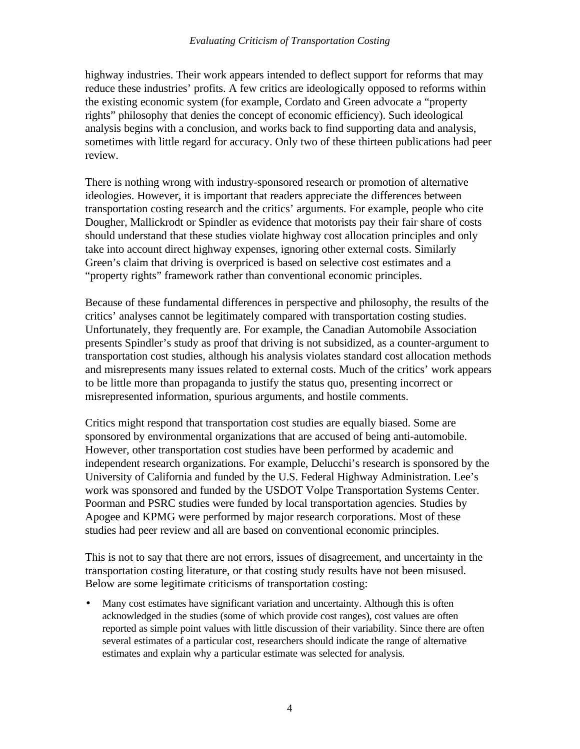highway industries. Their work appears intended to deflect support for reforms that may reduce these industries' profits. A few critics are ideologically opposed to reforms within the existing economic system (for example, Cordato and Green advocate a "property rights" philosophy that denies the concept of economic efficiency). Such ideological analysis begins with a conclusion, and works back to find supporting data and analysis, sometimes with little regard for accuracy. Only two of these thirteen publications had peer review.

There is nothing wrong with industry-sponsored research or promotion of alternative ideologies. However, it is important that readers appreciate the differences between transportation costing research and the critics' arguments. For example, people who cite Dougher, Mallickrodt or Spindler as evidence that motorists pay their fair share of costs should understand that these studies violate highway cost allocation principles and only take into account direct highway expenses, ignoring other external costs. Similarly Green's claim that driving is overpriced is based on selective cost estimates and a "property rights" framework rather than conventional economic principles.

Because of these fundamental differences in perspective and philosophy, the results of the critics' analyses cannot be legitimately compared with transportation costing studies. Unfortunately, they frequently are. For example, the Canadian Automobile Association presents Spindler's study as proof that driving is not subsidized, as a counter-argument to transportation cost studies, although his analysis violates standard cost allocation methods and misrepresents many issues related to external costs. Much of the critics' work appears to be little more than propaganda to justify the status quo, presenting incorrect or misrepresented information, spurious arguments, and hostile comments.

Critics might respond that transportation cost studies are equally biased. Some are sponsored by environmental organizations that are accused of being anti-automobile. However, other transportation cost studies have been performed by academic and independent research organizations. For example, Delucchi's research is sponsored by the University of California and funded by the U.S. Federal Highway Administration. Lee's work was sponsored and funded by the USDOT Volpe Transportation Systems Center. Poorman and PSRC studies were funded by local transportation agencies. Studies by Apogee and KPMG were performed by major research corporations. Most of these studies had peer review and all are based on conventional economic principles.

This is not to say that there are not errors, issues of disagreement, and uncertainty in the transportation costing literature, or that costing study results have not been misused. Below are some legitimate criticisms of transportation costing:

• Many cost estimates have significant variation and uncertainty. Although this is often acknowledged in the studies (some of which provide cost ranges), cost values are often reported as simple point values with little discussion of their variability. Since there are often several estimates of a particular cost, researchers should indicate the range of alternative estimates and explain why a particular estimate was selected for analysis.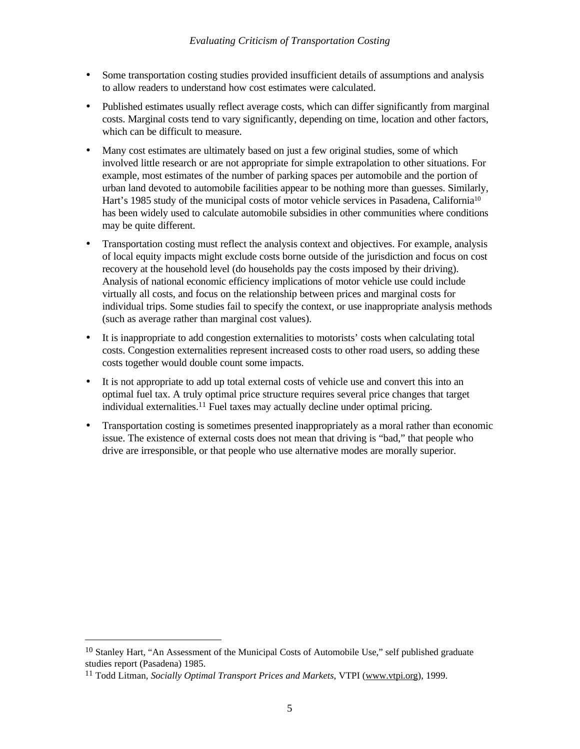- Some transportation costing studies provided insufficient details of assumptions and analysis to allow readers to understand how cost estimates were calculated.
- Published estimates usually reflect average costs, which can differ significantly from marginal costs. Marginal costs tend to vary significantly, depending on time, location and other factors, which can be difficult to measure.
- Many cost estimates are ultimately based on just a few original studies, some of which involved little research or are not appropriate for simple extrapolation to other situations. For example, most estimates of the number of parking spaces per automobile and the portion of urban land devoted to automobile facilities appear to be nothing more than guesses. Similarly, Hart's 1985 study of the municipal costs of motor vehicle services in Pasadena, California<sup>10</sup> has been widely used to calculate automobile subsidies in other communities where conditions may be quite different.
- Transportation costing must reflect the analysis context and objectives. For example, analysis of local equity impacts might exclude costs borne outside of the jurisdiction and focus on cost recovery at the household level (do households pay the costs imposed by their driving). Analysis of national economic efficiency implications of motor vehicle use could include virtually all costs, and focus on the relationship between prices and marginal costs for individual trips. Some studies fail to specify the context, or use inappropriate analysis methods (such as average rather than marginal cost values).
- It is inappropriate to add congestion externalities to motorists' costs when calculating total costs. Congestion externalities represent increased costs to other road users, so adding these costs together would double count some impacts.
- It is not appropriate to add up total external costs of vehicle use and convert this into an optimal fuel tax. A truly optimal price structure requires several price changes that target individual externalities.11 Fuel taxes may actually decline under optimal pricing.
- Transportation costing is sometimes presented inappropriately as a moral rather than economic issue. The existence of external costs does not mean that driving is "bad," that people who drive are irresponsible, or that people who use alternative modes are morally superior.

<u>.</u>

<sup>&</sup>lt;sup>10</sup> Stanley Hart, "An Assessment of the Municipal Costs of Automobile Use," self published graduate studies report (Pasadena) 1985.

<sup>11</sup> Todd Litman, *Socially Optimal Transport Prices and Markets*, VTPI (www.vtpi.org), 1999.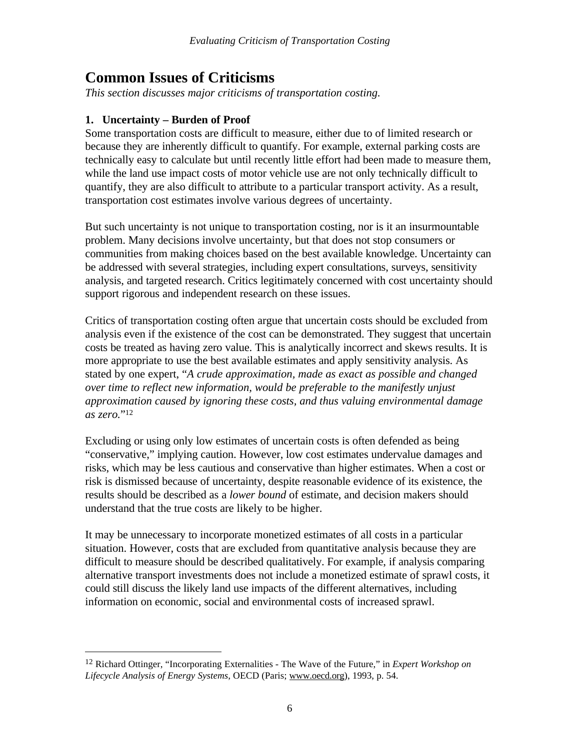## **Common Issues of Criticisms**

*This section discusses major criticisms of transportation costing.*

## **1. Uncertainty – Burden of Proof**

 $\overline{a}$ 

Some transportation costs are difficult to measure, either due to of limited research or because they are inherently difficult to quantify. For example, external parking costs are technically easy to calculate but until recently little effort had been made to measure them, while the land use impact costs of motor vehicle use are not only technically difficult to quantify, they are also difficult to attribute to a particular transport activity. As a result, transportation cost estimates involve various degrees of uncertainty.

But such uncertainty is not unique to transportation costing, nor is it an insurmountable problem. Many decisions involve uncertainty, but that does not stop consumers or communities from making choices based on the best available knowledge. Uncertainty can be addressed with several strategies, including expert consultations, surveys, sensitivity analysis, and targeted research. Critics legitimately concerned with cost uncertainty should support rigorous and independent research on these issues.

Critics of transportation costing often argue that uncertain costs should be excluded from analysis even if the existence of the cost can be demonstrated. They suggest that uncertain costs be treated as having zero value. This is analytically incorrect and skews results. It is more appropriate to use the best available estimates and apply sensitivity analysis. As stated by one expert, "*A crude approximation, made as exact as possible and changed over time to reflect new information, would be preferable to the manifestly unjust approximation caused by ignoring these costs, and thus valuing environmental damage as zero.*" 12

Excluding or using only low estimates of uncertain costs is often defended as being "conservative," implying caution. However, low cost estimates undervalue damages and risks, which may be less cautious and conservative than higher estimates. When a cost or risk is dismissed because of uncertainty, despite reasonable evidence of its existence, the results should be described as a *lower bound* of estimate, and decision makers should understand that the true costs are likely to be higher.

It may be unnecessary to incorporate monetized estimates of all costs in a particular situation. However, costs that are excluded from quantitative analysis because they are difficult to measure should be described qualitatively. For example, if analysis comparing alternative transport investments does not include a monetized estimate of sprawl costs, it could still discuss the likely land use impacts of the different alternatives, including information on economic, social and environmental costs of increased sprawl.

<sup>12</sup> Richard Ottinger, "Incorporating Externalities - The Wave of the Future," in *Expert Workshop on Lifecycle Analysis of Energy Systems*, OECD (Paris; www.oecd.org), 1993, p. 54.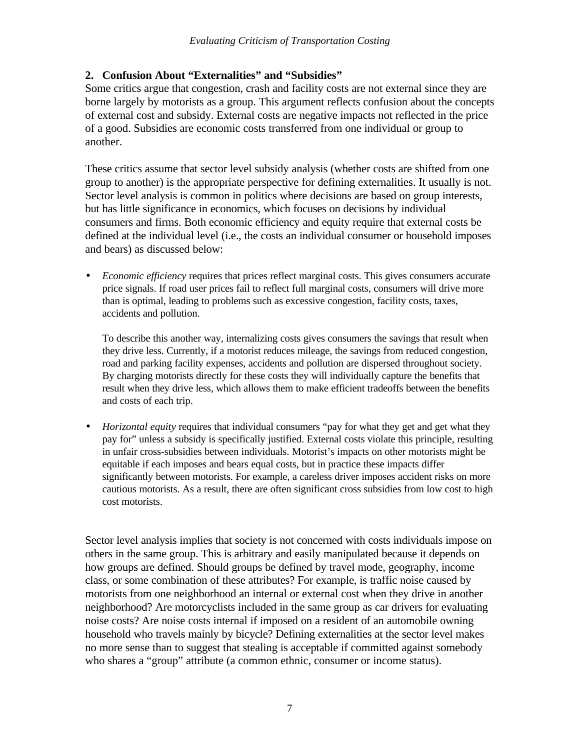## **2. Confusion About "Externalities" and "Subsidies"**

Some critics argue that congestion, crash and facility costs are not external since they are borne largely by motorists as a group. This argument reflects confusion about the concepts of external cost and subsidy. External costs are negative impacts not reflected in the price of a good. Subsidies are economic costs transferred from one individual or group to another.

These critics assume that sector level subsidy analysis (whether costs are shifted from one group to another) is the appropriate perspective for defining externalities. It usually is not. Sector level analysis is common in politics where decisions are based on group interests, but has little significance in economics, which focuses on decisions by individual consumers and firms. Both economic efficiency and equity require that external costs be defined at the individual level (i.e., the costs an individual consumer or household imposes and bears) as discussed below:

• *Economic efficiency* requires that prices reflect marginal costs. This gives consumers accurate price signals. If road user prices fail to reflect full marginal costs, consumers will drive more than is optimal, leading to problems such as excessive congestion, facility costs, taxes, accidents and pollution.

To describe this another way, internalizing costs gives consumers the savings that result when they drive less. Currently, if a motorist reduces mileage, the savings from reduced congestion, road and parking facility expenses, accidents and pollution are dispersed throughout society. By charging motorists directly for these costs they will individually capture the benefits that result when they drive less, which allows them to make efficient tradeoffs between the benefits and costs of each trip.

• *Horizontal equity* requires that individual consumers "pay for what they get and get what they pay for" unless a subsidy is specifically justified. External costs violate this principle, resulting in unfair cross-subsidies between individuals. Motorist's impacts on other motorists might be equitable if each imposes and bears equal costs, but in practice these impacts differ significantly between motorists. For example, a careless driver imposes accident risks on more cautious motorists. As a result, there are often significant cross subsidies from low cost to high cost motorists.

Sector level analysis implies that society is not concerned with costs individuals impose on others in the same group. This is arbitrary and easily manipulated because it depends on how groups are defined. Should groups be defined by travel mode, geography, income class, or some combination of these attributes? For example, is traffic noise caused by motorists from one neighborhood an internal or external cost when they drive in another neighborhood? Are motorcyclists included in the same group as car drivers for evaluating noise costs? Are noise costs internal if imposed on a resident of an automobile owning household who travels mainly by bicycle? Defining externalities at the sector level makes no more sense than to suggest that stealing is acceptable if committed against somebody who shares a "group" attribute (a common ethnic, consumer or income status).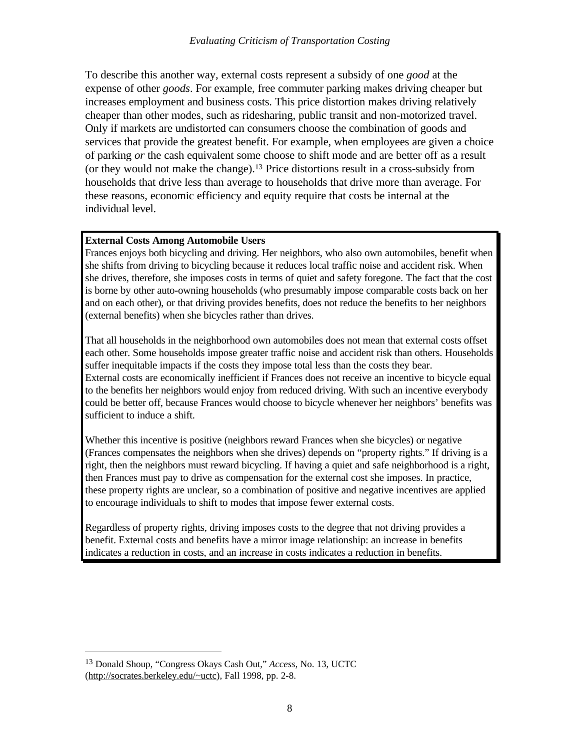To describe this another way, external costs represent a subsidy of one *good* at the expense of other *goods*. For example, free commuter parking makes driving cheaper but increases employment and business costs. This price distortion makes driving relatively cheaper than other modes, such as ridesharing, public transit and non-motorized travel. Only if markets are undistorted can consumers choose the combination of goods and services that provide the greatest benefit. For example, when employees are given a choice of parking *or* the cash equivalent some choose to shift mode and are better off as a result (or they would not make the change).13 Price distortions result in a cross-subsidy from households that drive less than average to households that drive more than average. For these reasons, economic efficiency and equity require that costs be internal at the individual level.

#### **External Costs Among Automobile Users**

Frances enjoys both bicycling and driving. Her neighbors, who also own automobiles, benefit when she shifts from driving to bicycling because it reduces local traffic noise and accident risk. When she drives, therefore, she imposes costs in terms of quiet and safety foregone. The fact that the cost is borne by other auto-owning households (who presumably impose comparable costs back on her and on each other), or that driving provides benefits, does not reduce the benefits to her neighbors (external benefits) when she bicycles rather than drives.

That all households in the neighborhood own automobiles does not mean that external costs offset each other. Some households impose greater traffic noise and accident risk than others. Households suffer inequitable impacts if the costs they impose total less than the costs they bear. External costs are economically inefficient if Frances does not receive an incentive to bicycle equal to the benefits her neighbors would enjoy from reduced driving. With such an incentive everybody could be better off, because Frances would choose to bicycle whenever her neighbors' benefits was sufficient to induce a shift.

Whether this incentive is positive (neighbors reward Frances when she bicycles) or negative (Frances compensates the neighbors when she drives) depends on "property rights." If driving is a right, then the neighbors must reward bicycling. If having a quiet and safe neighborhood is a right, then Frances must pay to drive as compensation for the external cost she imposes. In practice, these property rights are unclear, so a combination of positive and negative incentives are applied to encourage individuals to shift to modes that impose fewer external costs.

Regardless of property rights, driving imposes costs to the degree that not driving provides a benefit. External costs and benefits have a mirror image relationship: an increase in benefits indicates a reduction in costs, and an increase in costs indicates a reduction in benefits.

<sup>13</sup> Donald Shoup, "Congress Okays Cash Out," *Access*, No. 13, UCTC (http://socrates.berkeley.edu/~uctc), Fall 1998, pp. 2-8.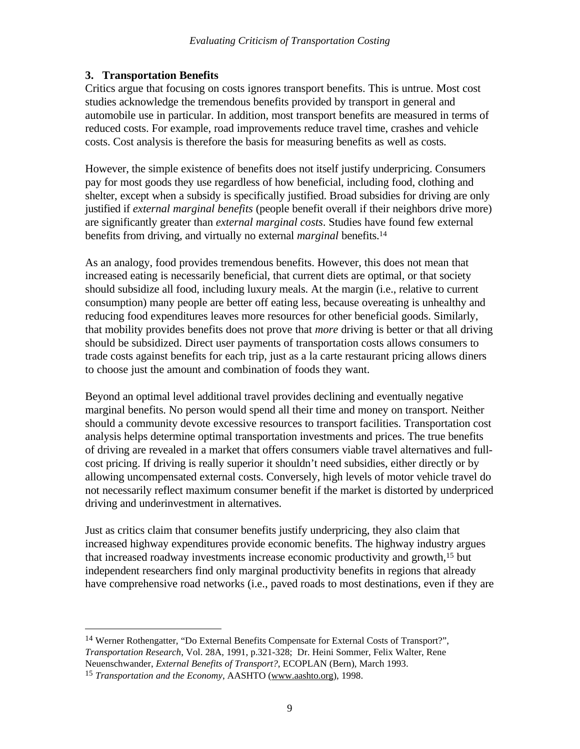## **3. Transportation Benefits**

Critics argue that focusing on costs ignores transport benefits. This is untrue. Most cost studies acknowledge the tremendous benefits provided by transport in general and automobile use in particular. In addition, most transport benefits are measured in terms of reduced costs. For example, road improvements reduce travel time, crashes and vehicle costs. Cost analysis is therefore the basis for measuring benefits as well as costs.

However, the simple existence of benefits does not itself justify underpricing. Consumers pay for most goods they use regardless of how beneficial, including food, clothing and shelter, except when a subsidy is specifically justified. Broad subsidies for driving are only justified if *external marginal benefits* (people benefit overall if their neighbors drive more) are significantly greater than *external marginal costs*. Studies have found few external benefits from driving, and virtually no external *marginal* benefits.<sup>14</sup>

As an analogy, food provides tremendous benefits. However, this does not mean that increased eating is necessarily beneficial, that current diets are optimal, or that society should subsidize all food, including luxury meals. At the margin (i.e., relative to current consumption) many people are better off eating less, because overeating is unhealthy and reducing food expenditures leaves more resources for other beneficial goods. Similarly, that mobility provides benefits does not prove that *more* driving is better or that all driving should be subsidized. Direct user payments of transportation costs allows consumers to trade costs against benefits for each trip, just as a la carte restaurant pricing allows diners to choose just the amount and combination of foods they want.

Beyond an optimal level additional travel provides declining and eventually negative marginal benefits. No person would spend all their time and money on transport. Neither should a community devote excessive resources to transport facilities. Transportation cost analysis helps determine optimal transportation investments and prices. The true benefits of driving are revealed in a market that offers consumers viable travel alternatives and fullcost pricing. If driving is really superior it shouldn't need subsidies, either directly or by allowing uncompensated external costs. Conversely, high levels of motor vehicle travel do not necessarily reflect maximum consumer benefit if the market is distorted by underpriced driving and underinvestment in alternatives.

Just as critics claim that consumer benefits justify underpricing, they also claim that increased highway expenditures provide economic benefits. The highway industry argues that increased roadway investments increase economic productivity and growth,15 but independent researchers find only marginal productivity benefits in regions that already have comprehensive road networks (i.e., paved roads to most destinations, even if they are

 $\overline{a}$ <sup>14</sup> Werner Rothengatter, "Do External Benefits Compensate for External Costs of Transport?", *Transportation Research*, Vol. 28A, 1991, p.321-328; Dr. Heini Sommer, Felix Walter, Rene Neuenschwander, *External Benefits of Transport?*, ECOPLAN (Bern), March 1993.

<sup>15</sup> *Transportation and the Economy*, AASHTO (www.aashto.org), 1998.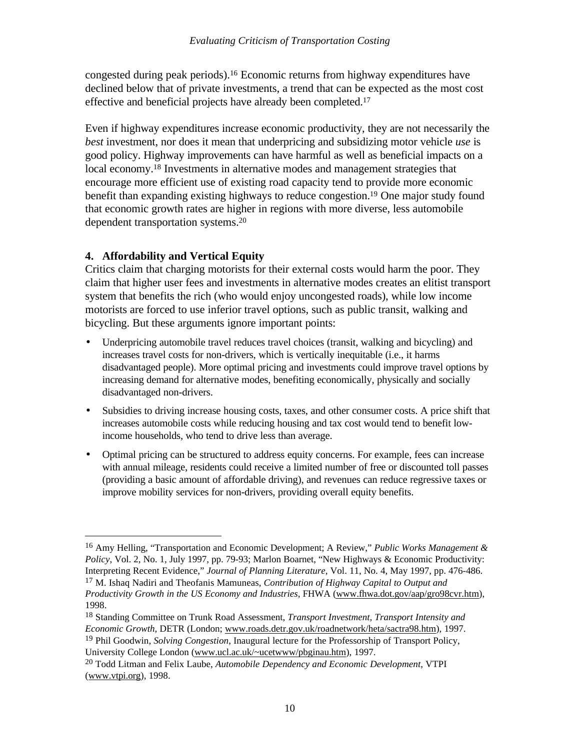congested during peak periods).16 Economic returns from highway expenditures have declined below that of private investments, a trend that can be expected as the most cost effective and beneficial projects have already been completed.<sup>17</sup>

Even if highway expenditures increase economic productivity, they are not necessarily the *best* investment, nor does it mean that underpricing and subsidizing motor vehicle *use* is good policy. Highway improvements can have harmful as well as beneficial impacts on a local economy.<sup>18</sup> Investments in alternative modes and management strategies that encourage more efficient use of existing road capacity tend to provide more economic benefit than expanding existing highways to reduce congestion.19 One major study found that economic growth rates are higher in regions with more diverse, less automobile dependent transportation systems.<sup>20</sup>

## **4. Affordability and Vertical Equity**

 $\overline{a}$ 

Critics claim that charging motorists for their external costs would harm the poor. They claim that higher user fees and investments in alternative modes creates an elitist transport system that benefits the rich (who would enjoy uncongested roads), while low income motorists are forced to use inferior travel options, such as public transit, walking and bicycling. But these arguments ignore important points:

- Underpricing automobile travel reduces travel choices (transit, walking and bicycling) and increases travel costs for non-drivers, which is vertically inequitable (i.e., it harms disadvantaged people). More optimal pricing and investments could improve travel options by increasing demand for alternative modes, benefiting economically, physically and socially disadvantaged non-drivers.
- Subsidies to driving increase housing costs, taxes, and other consumer costs. A price shift that increases automobile costs while reducing housing and tax cost would tend to benefit lowincome households, who tend to drive less than average.
- Optimal pricing can be structured to address equity concerns. For example, fees can increase with annual mileage, residents could receive a limited number of free or discounted toll passes (providing a basic amount of affordable driving), and revenues can reduce regressive taxes or improve mobility services for non-drivers, providing overall equity benefits.

<sup>16</sup> Amy Helling, "Transportation and Economic Development; A Review," *Public Works Management & Policy*, Vol. 2, No. 1, July 1997, pp. 79-93; Marlon Boarnet, "New Highways & Economic Productivity: Interpreting Recent Evidence," *Journal of Planning Literature*, Vol. 11, No. 4, May 1997, pp. 476-486. <sup>17</sup> M. Ishaq Nadiri and Theofanis Mamuneas, *Contribution of Highway Capital to Output and*

*Productivity Growth in the US Economy and Industries*, FHWA (www.fhwa.dot.gov/aap/gro98cvr.htm), 1998.

<sup>18</sup> Standing Committee on Trunk Road Assessment, *Transport Investment, Transport Intensity and Economic Growth*, DETR (London; www.roads.detr.gov.uk/roadnetwork/heta/sactra98.htm), 1997.

<sup>19</sup> Phil Goodwin, *Solving Congestion*, Inaugural lecture for the Professorship of Transport Policy, University College London (www.ucl.ac.uk/~ucetwww/pbginau.htm), 1997.

<sup>20</sup> Todd Litman and Felix Laube, *Automobile Dependency and Economic Development*, VTPI (www.vtpi.org), 1998.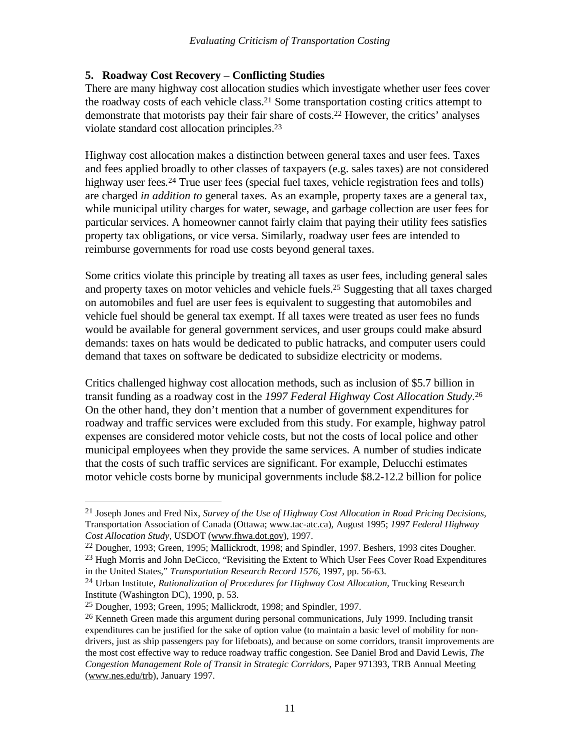## **5. Roadway Cost Recovery – Conflicting Studies**

There are many highway cost allocation studies which investigate whether user fees cover the roadway costs of each vehicle class.21 Some transportation costing critics attempt to demonstrate that motorists pay their fair share of costs.22 However, the critics' analyses violate standard cost allocation principles.<sup>23</sup>

Highway cost allocation makes a distinction between general taxes and user fees. Taxes and fees applied broadly to other classes of taxpayers (e.g. sales taxes) are not considered highway user fees*.* <sup>24</sup> True user fees (special fuel taxes, vehicle registration fees and tolls) are charged *in addition to* general taxes. As an example, property taxes are a general tax, while municipal utility charges for water, sewage, and garbage collection are user fees for particular services. A homeowner cannot fairly claim that paying their utility fees satisfies property tax obligations, or vice versa. Similarly, roadway user fees are intended to reimburse governments for road use costs beyond general taxes.

Some critics violate this principle by treating all taxes as user fees, including general sales and property taxes on motor vehicles and vehicle fuels.25 Suggesting that all taxes charged on automobiles and fuel are user fees is equivalent to suggesting that automobiles and vehicle fuel should be general tax exempt. If all taxes were treated as user fees no funds would be available for general government services, and user groups could make absurd demands: taxes on hats would be dedicated to public hatracks, and computer users could demand that taxes on software be dedicated to subsidize electricity or modems.

Critics challenged highway cost allocation methods, such as inclusion of \$5.7 billion in transit funding as a roadway cost in the *1997 Federal Highway Cost Allocation Study*. 26 On the other hand, they don't mention that a number of government expenditures for roadway and traffic services were excluded from this study. For example, highway patrol expenses are considered motor vehicle costs, but not the costs of local police and other municipal employees when they provide the same services. A number of studies indicate that the costs of such traffic services are significant. For example, Delucchi estimates motor vehicle costs borne by municipal governments include \$8.2-12.2 billion for police

<u>.</u>

<sup>21</sup> Joseph Jones and Fred Nix, *Survey of the Use of Highway Cost Allocation in Road Pricing Decisions*, Transportation Association of Canada (Ottawa; www.tac-atc.ca), August 1995; *1997 Federal Highway Cost Allocation Study*, USDOT (www.fhwa.dot.gov), 1997.

<sup>22</sup> Dougher, 1993; Green, 1995; Mallickrodt, 1998; and Spindler, 1997. Beshers, 1993 cites Dougher.

<sup>&</sup>lt;sup>23</sup> Hugh Morris and John DeCicco, "Revisiting the Extent to Which User Fees Cover Road Expenditures in the United States," *Transportation Research Record 1576*, 1997, pp. 56-63.

<sup>24</sup> Urban Institute, *Rationalization of Procedures for Highway Cost Allocation*, Trucking Research Institute (Washington DC), 1990, p. 53.

 $25$  Dougher, 1993; Green, 1995; Mallickrodt, 1998; and Spindler, 1997.

 $26$  Kenneth Green made this argument during personal communications, July 1999. Including transit expenditures can be justified for the sake of option value (to maintain a basic level of mobility for nondrivers, just as ship passengers pay for lifeboats), and because on some corridors, transit improvements are the most cost effective way to reduce roadway traffic congestion. See Daniel Brod and David Lewis, *The Congestion Management Role of Transit in Strategic Corridors*, Paper 971393, TRB Annual Meeting (www.nes.edu/trb), January 1997.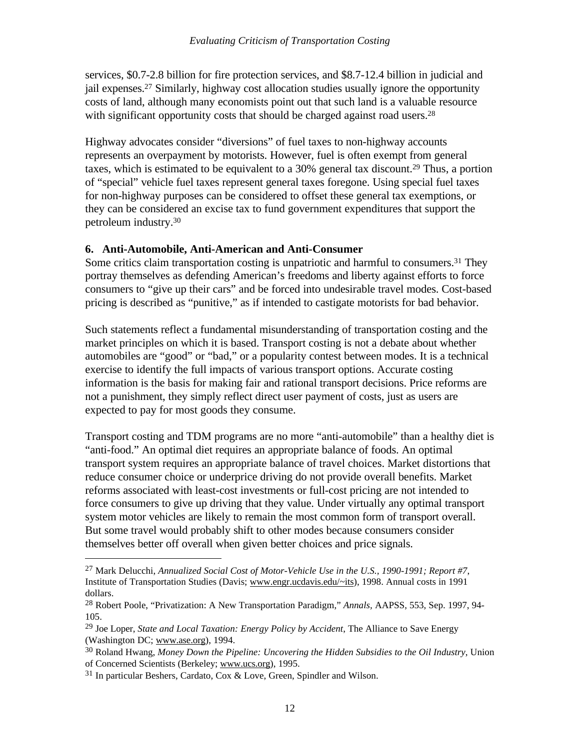services, \$0.7-2.8 billion for fire protection services, and \$8.7-12.4 billion in judicial and jail expenses.27 Similarly, highway cost allocation studies usually ignore the opportunity costs of land, although many economists point out that such land is a valuable resource with significant opportunity costs that should be charged against road users.<sup>28</sup>

Highway advocates consider "diversions" of fuel taxes to non-highway accounts represents an overpayment by motorists. However, fuel is often exempt from general taxes, which is estimated to be equivalent to a 30% general tax discount.29 Thus, a portion of "special" vehicle fuel taxes represent general taxes foregone. Using special fuel taxes for non-highway purposes can be considered to offset these general tax exemptions, or they can be considered an excise tax to fund government expenditures that support the petroleum industry.<sup>30</sup>

#### **6. Anti-Automobile, Anti-American and Anti-Consumer**

Some critics claim transportation costing is unpatriotic and harmful to consumers.<sup>31</sup> They portray themselves as defending American's freedoms and liberty against efforts to force consumers to "give up their cars" and be forced into undesirable travel modes. Cost-based pricing is described as "punitive," as if intended to castigate motorists for bad behavior.

Such statements reflect a fundamental misunderstanding of transportation costing and the market principles on which it is based. Transport costing is not a debate about whether automobiles are "good" or "bad," or a popularity contest between modes. It is a technical exercise to identify the full impacts of various transport options. Accurate costing information is the basis for making fair and rational transport decisions. Price reforms are not a punishment, they simply reflect direct user payment of costs, just as users are expected to pay for most goods they consume.

Transport costing and TDM programs are no more "anti-automobile" than a healthy diet is "anti-food." An optimal diet requires an appropriate balance of foods. An optimal transport system requires an appropriate balance of travel choices. Market distortions that reduce consumer choice or underprice driving do not provide overall benefits. Market reforms associated with least-cost investments or full-cost pricing are not intended to force consumers to give up driving that they value. Under virtually any optimal transport system motor vehicles are likely to remain the most common form of transport overall. But some travel would probably shift to other modes because consumers consider themselves better off overall when given better choices and price signals.

<sup>27</sup> Mark Delucchi, *Annualized Social Cost of Motor-Vehicle Use in the U.S., 1990-1991; Report #7*, Institute of Transportation Studies (Davis; www.engr.ucdavis.edu/~its), 1998. Annual costs in 1991 dollars.

<sup>28</sup> Robert Poole, "Privatization: A New Transportation Paradigm," *Annals,* AAPSS, 553, Sep. 1997, 94- 105.

<sup>29</sup> Joe Loper, *State and Local Taxation: Energy Policy by Accident*, The Alliance to Save Energy (Washington DC; www.ase.org), 1994.

<sup>30</sup> Roland Hwang, *Money Down the Pipeline: Uncovering the Hidden Subsidies to the Oil Industry*, Union of Concerned Scientists (Berkeley; www.ucs.org), 1995.

<sup>&</sup>lt;sup>31</sup> In particular Beshers, Cardato, Cox & Love, Green, Spindler and Wilson.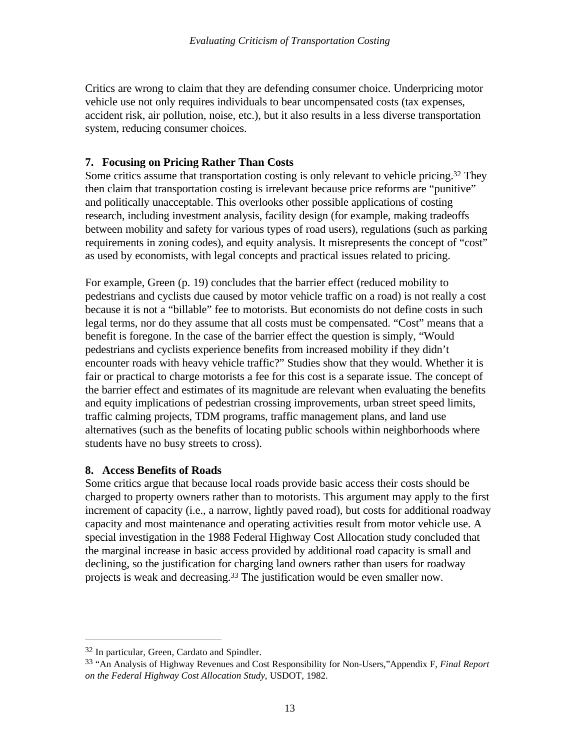Critics are wrong to claim that they are defending consumer choice. Underpricing motor vehicle use not only requires individuals to bear uncompensated costs (tax expenses, accident risk, air pollution, noise, etc.), but it also results in a less diverse transportation system, reducing consumer choices.

#### **7. Focusing on Pricing Rather Than Costs**

Some critics assume that transportation costing is only relevant to vehicle pricing.<sup>32</sup> They then claim that transportation costing is irrelevant because price reforms are "punitive" and politically unacceptable. This overlooks other possible applications of costing research, including investment analysis, facility design (for example, making tradeoffs between mobility and safety for various types of road users), regulations (such as parking requirements in zoning codes), and equity analysis. It misrepresents the concept of "cost" as used by economists, with legal concepts and practical issues related to pricing.

For example, Green (p. 19) concludes that the barrier effect (reduced mobility to pedestrians and cyclists due caused by motor vehicle traffic on a road) is not really a cost because it is not a "billable" fee to motorists. But economists do not define costs in such legal terms, nor do they assume that all costs must be compensated. "Cost" means that a benefit is foregone. In the case of the barrier effect the question is simply, "Would pedestrians and cyclists experience benefits from increased mobility if they didn't encounter roads with heavy vehicle traffic?" Studies show that they would. Whether it is fair or practical to charge motorists a fee for this cost is a separate issue. The concept of the barrier effect and estimates of its magnitude are relevant when evaluating the benefits and equity implications of pedestrian crossing improvements, urban street speed limits, traffic calming projects, TDM programs, traffic management plans, and land use alternatives (such as the benefits of locating public schools within neighborhoods where students have no busy streets to cross).

#### **8. Access Benefits of Roads**

Some critics argue that because local roads provide basic access their costs should be charged to property owners rather than to motorists. This argument may apply to the first increment of capacity (i.e., a narrow, lightly paved road), but costs for additional roadway capacity and most maintenance and operating activities result from motor vehicle use. A special investigation in the 1988 Federal Highway Cost Allocation study concluded that the marginal increase in basic access provided by additional road capacity is small and declining, so the justification for charging land owners rather than users for roadway projects is weak and decreasing.<sup>33</sup> The justification would be even smaller now.

<sup>32</sup> In particular, Green, Cardato and Spindler.

<sup>33</sup> "An Analysis of Highway Revenues and Cost Responsibility for Non-Users,"Appendix F, *Final Report on the Federal Highway Cost Allocation Study*, USDOT, 1982.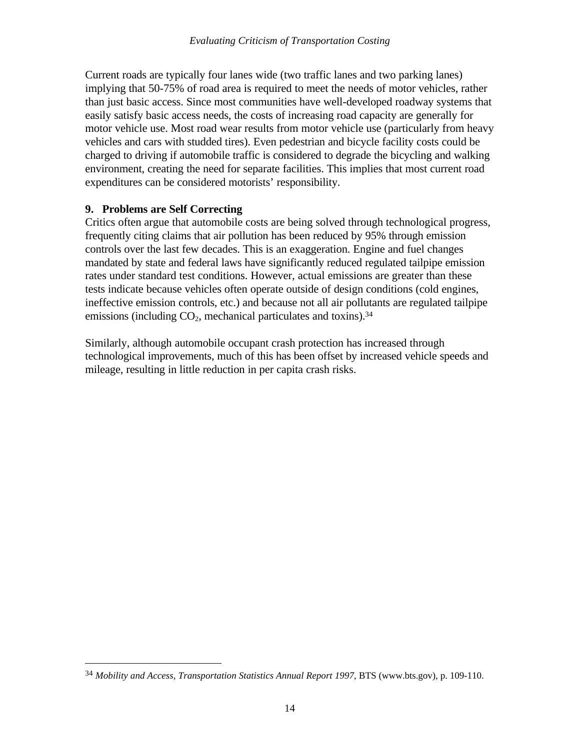Current roads are typically four lanes wide (two traffic lanes and two parking lanes) implying that 50-75% of road area is required to meet the needs of motor vehicles, rather than just basic access. Since most communities have well-developed roadway systems that easily satisfy basic access needs, the costs of increasing road capacity are generally for motor vehicle use. Most road wear results from motor vehicle use (particularly from heavy vehicles and cars with studded tires). Even pedestrian and bicycle facility costs could be charged to driving if automobile traffic is considered to degrade the bicycling and walking environment, creating the need for separate facilities. This implies that most current road expenditures can be considered motorists' responsibility.

## **9. Problems are Self Correcting**

 $\overline{a}$ 

Critics often argue that automobile costs are being solved through technological progress, frequently citing claims that air pollution has been reduced by 95% through emission controls over the last few decades. This is an exaggeration. Engine and fuel changes mandated by state and federal laws have significantly reduced regulated tailpipe emission rates under standard test conditions. However, actual emissions are greater than these tests indicate because vehicles often operate outside of design conditions (cold engines, ineffective emission controls, etc.) and because not all air pollutants are regulated tailpipe emissions (including  $CO<sub>2</sub>$ , mechanical particulates and toxins).<sup>34</sup>

Similarly, although automobile occupant crash protection has increased through technological improvements, much of this has been offset by increased vehicle speeds and mileage, resulting in little reduction in per capita crash risks.

<sup>34</sup> *Mobility and Access, Transportation Statistics Annual Report 1997*, BTS (www.bts.gov), p. 109-110.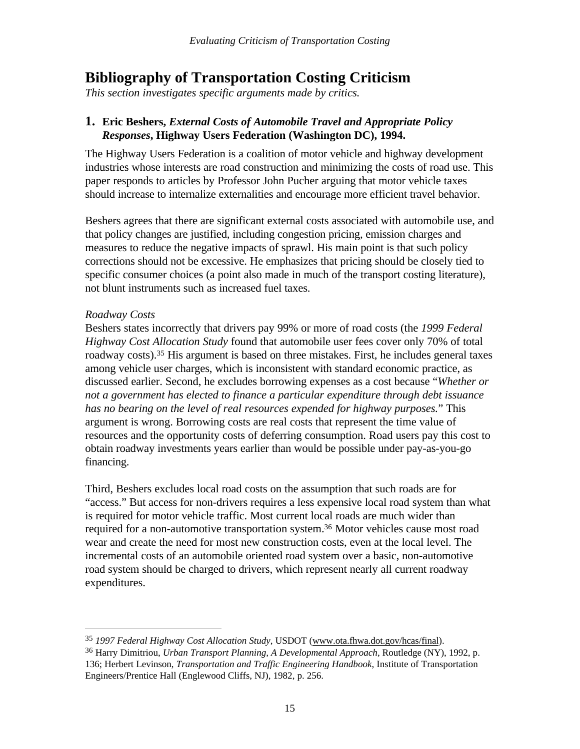## **Bibliography of Transportation Costing Criticism**

*This section investigates specific arguments made by critics.*

## **1. Eric Beshers,** *External Costs of Automobile Travel and Appropriate Policy Responses***, Highway Users Federation (Washington DC), 1994.**

The Highway Users Federation is a coalition of motor vehicle and highway development industries whose interests are road construction and minimizing the costs of road use. This paper responds to articles by Professor John Pucher arguing that motor vehicle taxes should increase to internalize externalities and encourage more efficient travel behavior.

Beshers agrees that there are significant external costs associated with automobile use, and that policy changes are justified, including congestion pricing, emission charges and measures to reduce the negative impacts of sprawl. His main point is that such policy corrections should not be excessive. He emphasizes that pricing should be closely tied to specific consumer choices (a point also made in much of the transport costing literature), not blunt instruments such as increased fuel taxes.

#### *Roadway Costs*

Beshers states incorrectly that drivers pay 99% or more of road costs (the *1999 Federal Highway Cost Allocation Study* found that automobile user fees cover only 70% of total roadway costs).35 His argument is based on three mistakes. First, he includes general taxes among vehicle user charges, which is inconsistent with standard economic practice, as discussed earlier. Second, he excludes borrowing expenses as a cost because "*Whether or not a government has elected to finance a particular expenditure through debt issuance has no bearing on the level of real resources expended for highway purposes.*" This argument is wrong. Borrowing costs are real costs that represent the time value of resources and the opportunity costs of deferring consumption. Road users pay this cost to obtain roadway investments years earlier than would be possible under pay-as-you-go financing.

Third, Beshers excludes local road costs on the assumption that such roads are for "access." But access for non-drivers requires a less expensive local road system than what is required for motor vehicle traffic. Most current local roads are much wider than required for a non-automotive transportation system.<sup>36</sup> Motor vehicles cause most road wear and create the need for most new construction costs, even at the local level. The incremental costs of an automobile oriented road system over a basic, non-automotive road system should be charged to drivers, which represent nearly all current roadway expenditures.

 $\overline{a}$ <sup>35</sup> *1997 Federal Highway Cost Allocation Study*, USDOT (www.ota.fhwa.dot.gov/hcas/final).

<sup>36</sup> Harry Dimitriou, *Urban Transport Planning, A Developmental Approach*, Routledge (NY), 1992, p. 136; Herbert Levinson, *Transportation and Traffic Engineering Handbook*, Institute of Transportation Engineers/Prentice Hall (Englewood Cliffs, NJ), 1982, p. 256.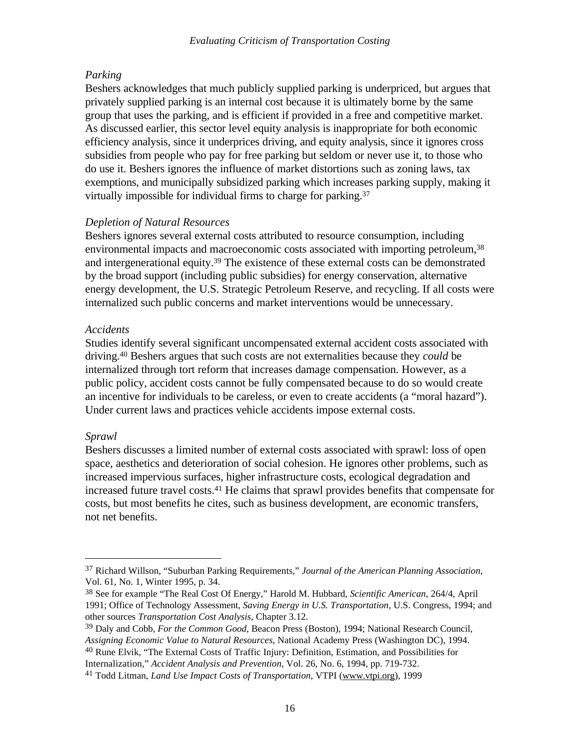#### *Parking*

Beshers acknowledges that much publicly supplied parking is underpriced, but argues that privately supplied parking is an internal cost because it is ultimately borne by the same group that uses the parking, and is efficient if provided in a free and competitive market. As discussed earlier, this sector level equity analysis is inappropriate for both economic efficiency analysis, since it underprices driving, and equity analysis, since it ignores cross subsidies from people who pay for free parking but seldom or never use it, to those who do use it. Beshers ignores the influence of market distortions such as zoning laws, tax exemptions, and municipally subsidized parking which increases parking supply, making it virtually impossible for individual firms to charge for parking.<sup>37</sup>

#### *Depletion of Natural Resources*

Beshers ignores several external costs attributed to resource consumption, including environmental impacts and macroeconomic costs associated with importing petroleum,<sup>38</sup> and intergenerational equity.39 The existence of these external costs can be demonstrated by the broad support (including public subsidies) for energy conservation, alternative energy development, the U.S. Strategic Petroleum Reserve, and recycling. If all costs were internalized such public concerns and market interventions would be unnecessary.

#### *Accidents*

Studies identify several significant uncompensated external accident costs associated with driving.40 Beshers argues that such costs are not externalities because they *could* be internalized through tort reform that increases damage compensation. However, as a public policy, accident costs cannot be fully compensated because to do so would create an incentive for individuals to be careless, or even to create accidents (a "moral hazard"). Under current laws and practices vehicle accidents impose external costs.

## *Sprawl*

 $\overline{a}$ 

Beshers discusses a limited number of external costs associated with sprawl: loss of open space, aesthetics and deterioration of social cohesion. He ignores other problems, such as increased impervious surfaces, higher infrastructure costs, ecological degradation and increased future travel costs.41 He claims that sprawl provides benefits that compensate for costs, but most benefits he cites, such as business development, are economic transfers, not net benefits.

Internalization," *Accident Analysis and Prevention*, Vol. 26, No. 6, 1994, pp. 719-732.

<sup>37</sup> Richard Willson, "Suburban Parking Requirements," *Journal of the American Planning Association*, Vol. 61, No. 1, Winter 1995, p. 34.

<sup>38</sup> See for example "The Real Cost Of Energy," Harold M. Hubbard, *Scientific American*, 264/4, April 1991; Office of Technology Assessment, *Saving Energy in U.S. Transportation*, U.S. Congress, 1994; and other sources *Transportation Cost Analysis,* Chapter 3.12*.*

<sup>39</sup> Daly and Cobb, *For the Common Good*, Beacon Press (Boston), 1994; National Research Council, *Assigning Economic Value to Natural Resources*, National Academy Press (Washington DC), 1994. <sup>40</sup> Rune Elvik, "The External Costs of Traffic Injury: Definition, Estimation, and Possibilities for

<sup>41</sup> Todd Litman, *Land Use Impact Costs of Transportation*, VTPI (www.vtpi.org), 1999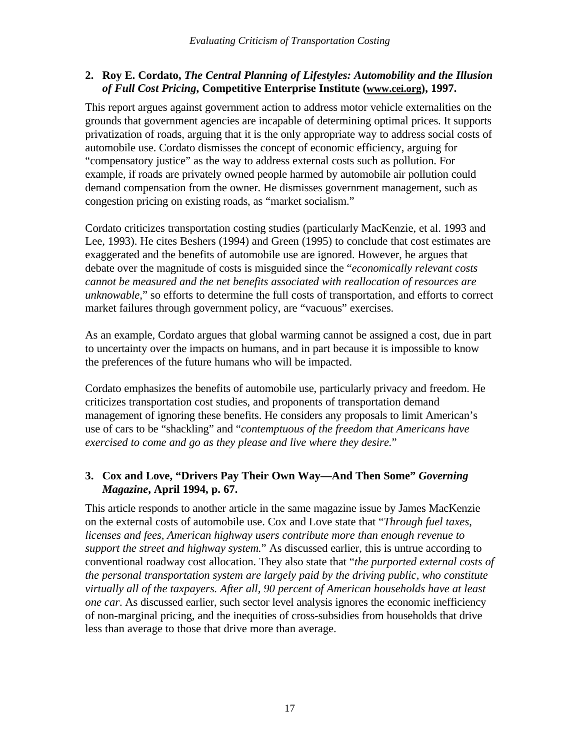## **2. Roy E. Cordato,** *The Central Planning of Lifestyles: Automobility and the Illusion of Full Cost Pricing***, Competitive Enterprise Institute (www.cei.org), 1997.**

This report argues against government action to address motor vehicle externalities on the grounds that government agencies are incapable of determining optimal prices. It supports privatization of roads, arguing that it is the only appropriate way to address social costs of automobile use. Cordato dismisses the concept of economic efficiency, arguing for "compensatory justice" as the way to address external costs such as pollution. For example, if roads are privately owned people harmed by automobile air pollution could demand compensation from the owner. He dismisses government management, such as congestion pricing on existing roads, as "market socialism."

Cordato criticizes transportation costing studies (particularly MacKenzie, et al. 1993 and Lee, 1993). He cites Beshers (1994) and Green (1995) to conclude that cost estimates are exaggerated and the benefits of automobile use are ignored. However, he argues that debate over the magnitude of costs is misguided since the "*economically relevant costs cannot be measured and the net benefits associated with reallocation of resources are unknowable,*" so efforts to determine the full costs of transportation, and efforts to correct market failures through government policy, are "vacuous" exercises.

As an example, Cordato argues that global warming cannot be assigned a cost, due in part to uncertainty over the impacts on humans, and in part because it is impossible to know the preferences of the future humans who will be impacted.

Cordato emphasizes the benefits of automobile use, particularly privacy and freedom. He criticizes transportation cost studies, and proponents of transportation demand management of ignoring these benefits. He considers any proposals to limit American's use of cars to be "shackling" and "*contemptuous of the freedom that Americans have exercised to come and go as they please and live where they desire.*"

## **3. Cox and Love, "Drivers Pay Their Own Way—And Then Some"** *Governing Magazine***, April 1994, p. 67.**

This article responds to another article in the same magazine issue by James MacKenzie on the external costs of automobile use. Cox and Love state that "*Through fuel taxes, licenses and fees, American highway users contribute more than enough revenue to support the street and highway system.*" As discussed earlier, this is untrue according to conventional roadway cost allocation. They also state that "*the purported external costs of the personal transportation system are largely paid by the driving public, who constitute virtually all of the taxpayers. After all, 90 percent of American households have at least one car*. As discussed earlier, such sector level analysis ignores the economic inefficiency of non-marginal pricing, and the inequities of cross-subsidies from households that drive less than average to those that drive more than average.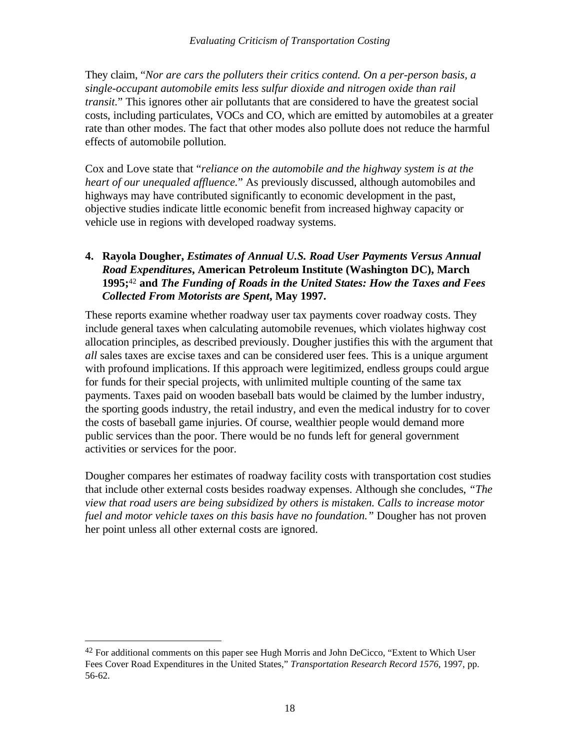They claim, "*Nor are cars the polluters their critics contend. On a per-person basis, a single-occupant automobile emits less sulfur dioxide and nitrogen oxide than rail transit.*" This ignores other air pollutants that are considered to have the greatest social costs, including particulates, VOCs and CO, which are emitted by automobiles at a greater rate than other modes. The fact that other modes also pollute does not reduce the harmful effects of automobile pollution.

Cox and Love state that "*reliance on the automobile and the highway system is at the heart of our unequaled affluence.*" As previously discussed, although automobiles and highways may have contributed significantly to economic development in the past, objective studies indicate little economic benefit from increased highway capacity or vehicle use in regions with developed roadway systems.

## **4. Rayola Dougher,** *Estimates of Annual U.S. Road User Payments Versus Annual Road Expenditures***, American Petroleum Institute (Washington DC), March 1995;**42 **and** *The Funding of Roads in the United States: How the Taxes and Fees Collected From Motorists are Spent***, May 1997.**

These reports examine whether roadway user tax payments cover roadway costs. They include general taxes when calculating automobile revenues, which violates highway cost allocation principles, as described previously. Dougher justifies this with the argument that *all* sales taxes are excise taxes and can be considered user fees. This is a unique argument with profound implications. If this approach were legitimized, endless groups could argue for funds for their special projects, with unlimited multiple counting of the same tax payments. Taxes paid on wooden baseball bats would be claimed by the lumber industry, the sporting goods industry, the retail industry, and even the medical industry for to cover the costs of baseball game injuries. Of course, wealthier people would demand more public services than the poor. There would be no funds left for general government activities or services for the poor.

Dougher compares her estimates of roadway facility costs with transportation cost studies that include other external costs besides roadway expenses. Although she concludes, *"The view that road users are being subsidized by others is mistaken. Calls to increase motor fuel and motor vehicle taxes on this basis have no foundation."* Dougher has not proven her point unless all other external costs are ignored.

 $42$  For additional comments on this paper see Hugh Morris and John DeCicco, "Extent to Which User Fees Cover Road Expenditures in the United States," *Transportation Research Record 1576*, 1997, pp. 56-62.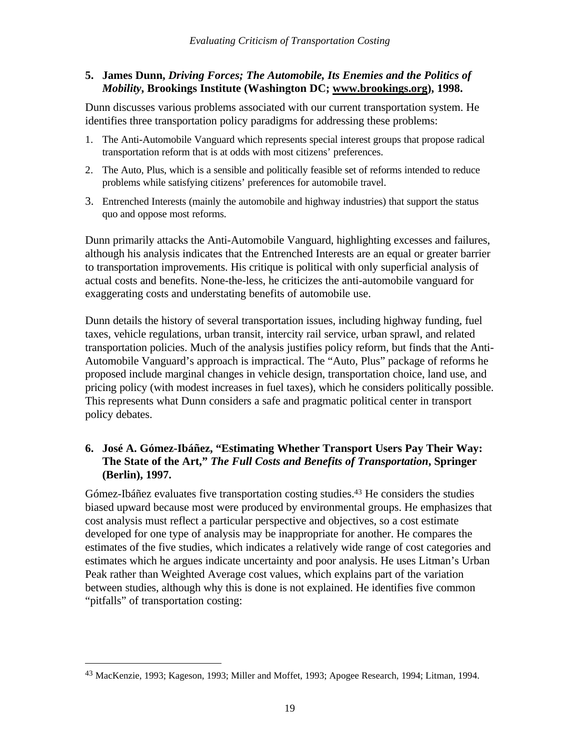### **5. James Dunn,** *Driving Forces; The Automobile, Its Enemies and the Politics of Mobility***, Brookings Institute (Washington DC; www.brookings.org), 1998.**

Dunn discusses various problems associated with our current transportation system. He identifies three transportation policy paradigms for addressing these problems:

- 1. The Anti-Automobile Vanguard which represents special interest groups that propose radical transportation reform that is at odds with most citizens' preferences.
- 2. The Auto, Plus, which is a sensible and politically feasible set of reforms intended to reduce problems while satisfying citizens' preferences for automobile travel.
- 3. Entrenched Interests (mainly the automobile and highway industries) that support the status quo and oppose most reforms.

Dunn primarily attacks the Anti-Automobile Vanguard, highlighting excesses and failures, although his analysis indicates that the Entrenched Interests are an equal or greater barrier to transportation improvements. His critique is political with only superficial analysis of actual costs and benefits. None-the-less, he criticizes the anti-automobile vanguard for exaggerating costs and understating benefits of automobile use.

Dunn details the history of several transportation issues, including highway funding, fuel taxes, vehicle regulations, urban transit, intercity rail service, urban sprawl, and related transportation policies. Much of the analysis justifies policy reform, but finds that the Anti-Automobile Vanguard's approach is impractical. The "Auto, Plus" package of reforms he proposed include marginal changes in vehicle design, transportation choice, land use, and pricing policy (with modest increases in fuel taxes), which he considers politically possible. This represents what Dunn considers a safe and pragmatic political center in transport policy debates.

## **6. José A. Gómez-Ibáñez, "Estimating Whether Transport Users Pay Their Way: The State of the Art,"** *The Full Costs and Benefits of Transportation***, Springer (Berlin), 1997.**

Gómez-Ibáñez evaluates five transportation costing studies.43 He considers the studies biased upward because most were produced by environmental groups. He emphasizes that cost analysis must reflect a particular perspective and objectives, so a cost estimate developed for one type of analysis may be inappropriate for another. He compares the estimates of the five studies, which indicates a relatively wide range of cost categories and estimates which he argues indicate uncertainty and poor analysis. He uses Litman's Urban Peak rather than Weighted Average cost values, which explains part of the variation between studies, although why this is done is not explained. He identifies five common "pitfalls" of transportation costing:

<sup>43</sup> MacKenzie, 1993; Kageson, 1993; Miller and Moffet, 1993; Apogee Research, 1994; Litman, 1994.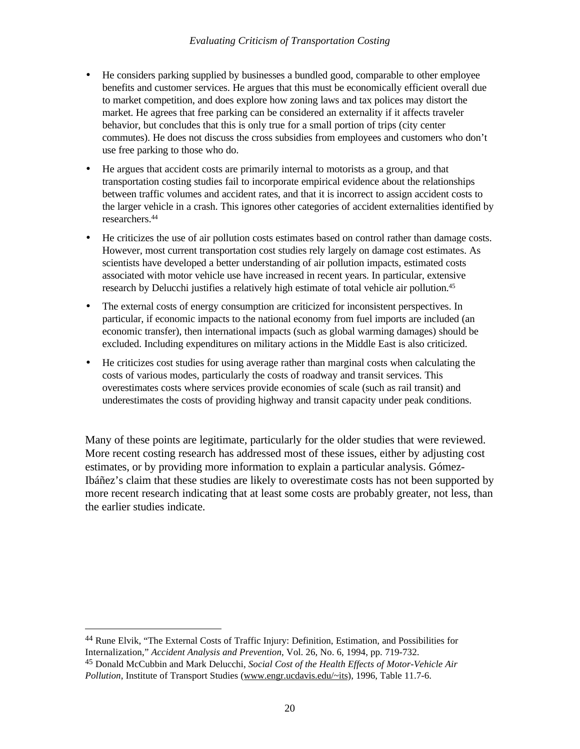- He considers parking supplied by businesses a bundled good, comparable to other employee benefits and customer services. He argues that this must be economically efficient overall due to market competition, and does explore how zoning laws and tax polices may distort the market. He agrees that free parking can be considered an externality if it affects traveler behavior, but concludes that this is only true for a small portion of trips (city center commutes). He does not discuss the cross subsidies from employees and customers who don't use free parking to those who do.
- He argues that accident costs are primarily internal to motorists as a group, and that transportation costing studies fail to incorporate empirical evidence about the relationships between traffic volumes and accident rates, and that it is incorrect to assign accident costs to the larger vehicle in a crash. This ignores other categories of accident externalities identified by researchers.<sup>44</sup>
- He criticizes the use of air pollution costs estimates based on control rather than damage costs. However, most current transportation cost studies rely largely on damage cost estimates. As scientists have developed a better understanding of air pollution impacts, estimated costs associated with motor vehicle use have increased in recent years. In particular, extensive research by Delucchi justifies a relatively high estimate of total vehicle air pollution.<sup>45</sup>
- The external costs of energy consumption are criticized for inconsistent perspectives. In particular, if economic impacts to the national economy from fuel imports are included (an economic transfer), then international impacts (such as global warming damages) should be excluded. Including expenditures on military actions in the Middle East is also criticized.
- He criticizes cost studies for using average rather than marginal costs when calculating the costs of various modes, particularly the costs of roadway and transit services. This overestimates costs where services provide economies of scale (such as rail transit) and underestimates the costs of providing highway and transit capacity under peak conditions.

Many of these points are legitimate, particularly for the older studies that were reviewed. More recent costing research has addressed most of these issues, either by adjusting cost estimates, or by providing more information to explain a particular analysis. Gómez-Ibáñez's claim that these studies are likely to overestimate costs has not been supported by more recent research indicating that at least some costs are probably greater, not less, than the earlier studies indicate.

<sup>44</sup> Rune Elvik, "The External Costs of Traffic Injury: Definition, Estimation, and Possibilities for Internalization," *Accident Analysis and Prevention*, Vol. 26, No. 6, 1994, pp. 719-732.

<sup>45</sup> Donald McCubbin and Mark Delucchi, *Social Cost of the Health Effects of Motor-Vehicle Air Pollution*, Institute of Transport Studies (www.engr.ucdavis.edu/~its), 1996, Table 11.7-6.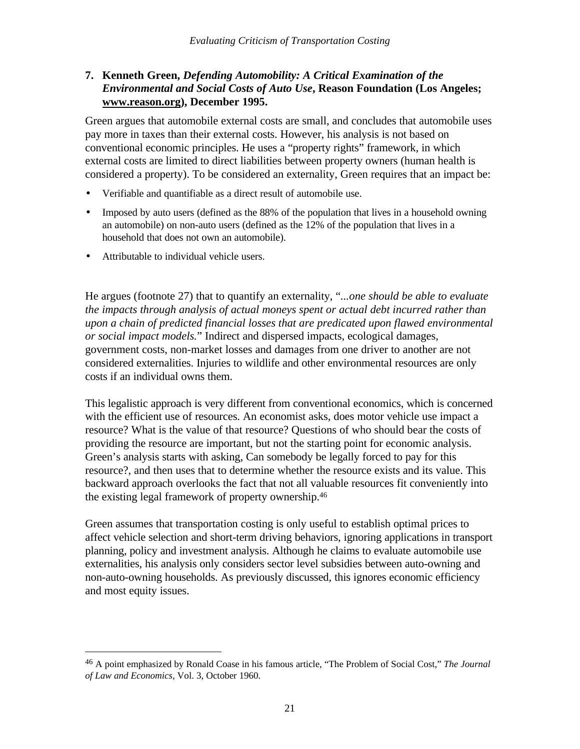## **7. Kenneth Green,** *Defending Automobility: A Critical Examination of the Environmental and Social Costs of Auto Use***, Reason Foundation (Los Angeles; www.reason.org), December 1995.**

Green argues that automobile external costs are small, and concludes that automobile uses pay more in taxes than their external costs. However, his analysis is not based on conventional economic principles. He uses a "property rights" framework, in which external costs are limited to direct liabilities between property owners (human health is considered a property). To be considered an externality, Green requires that an impact be:

- Verifiable and quantifiable as a direct result of automobile use.
- Imposed by auto users (defined as the 88% of the population that lives in a household owning an automobile) on non-auto users (defined as the 12% of the population that lives in a household that does not own an automobile).
- Attributable to individual vehicle users.

 $\overline{a}$ 

He argues (footnote 27) that to quantify an externality, "*...one should be able to evaluate the impacts through analysis of actual moneys spent or actual debt incurred rather than upon a chain of predicted financial losses that are predicated upon flawed environmental or social impact models.*" Indirect and dispersed impacts, ecological damages, government costs, non-market losses and damages from one driver to another are not considered externalities. Injuries to wildlife and other environmental resources are only costs if an individual owns them.

This legalistic approach is very different from conventional economics, which is concerned with the efficient use of resources. An economist asks, does motor vehicle use impact a resource? What is the value of that resource? Questions of who should bear the costs of providing the resource are important, but not the starting point for economic analysis. Green's analysis starts with asking, Can somebody be legally forced to pay for this resource?, and then uses that to determine whether the resource exists and its value. This backward approach overlooks the fact that not all valuable resources fit conveniently into the existing legal framework of property ownership.<sup>46</sup>

Green assumes that transportation costing is only useful to establish optimal prices to affect vehicle selection and short-term driving behaviors, ignoring applications in transport planning, policy and investment analysis. Although he claims to evaluate automobile use externalities, his analysis only considers sector level subsidies between auto-owning and non-auto-owning households. As previously discussed, this ignores economic efficiency and most equity issues.

<sup>46</sup> A point emphasized by Ronald Coase in his famous article, "The Problem of Social Cost," *The Journal of Law and Economics*, Vol. 3, October 1960.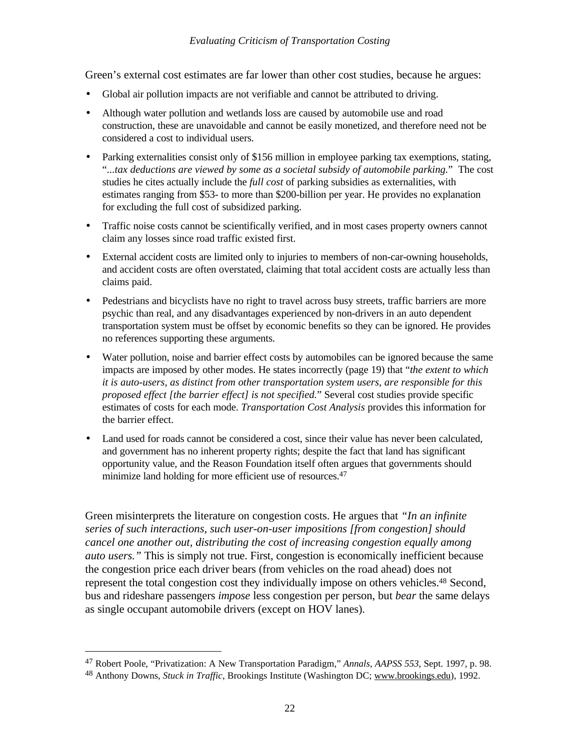Green's external cost estimates are far lower than other cost studies, because he argues:

- Global air pollution impacts are not verifiable and cannot be attributed to driving.
- Although water pollution and wetlands loss are caused by automobile use and road construction, these are unavoidable and cannot be easily monetized, and therefore need not be considered a cost to individual users.
- Parking externalities consist only of \$156 million in employee parking tax exemptions, stating, "*...tax deductions are viewed by some as a societal subsidy of automobile parking.*" The cost studies he cites actually include the *full cost* of parking subsidies as externalities, with estimates ranging from \$53- to more than \$200-billion per year. He provides no explanation for excluding the full cost of subsidized parking.
- Traffic noise costs cannot be scientifically verified, and in most cases property owners cannot claim any losses since road traffic existed first.
- External accident costs are limited only to injuries to members of non-car-owning households, and accident costs are often overstated, claiming that total accident costs are actually less than claims paid.
- Pedestrians and bicyclists have no right to travel across busy streets, traffic barriers are more psychic than real, and any disadvantages experienced by non-drivers in an auto dependent transportation system must be offset by economic benefits so they can be ignored. He provides no references supporting these arguments.
- Water pollution, noise and barrier effect costs by automobiles can be ignored because the same impacts are imposed by other modes. He states incorrectly (page 19) that "*the extent to which it is auto-users, as distinct from other transportation system users, are responsible for this proposed effect [the barrier effect] is not specified.*" Several cost studies provide specific estimates of costs for each mode. *Transportation Cost Analysis* provides this information for the barrier effect.
- Land used for roads cannot be considered a cost, since their value has never been calculated, and government has no inherent property rights; despite the fact that land has significant opportunity value, and the Reason Foundation itself often argues that governments should minimize land holding for more efficient use of resources.<sup>47</sup>

Green misinterprets the literature on congestion costs. He argues that *"In an infinite series of such interactions, such user-on-user impositions [from congestion] should cancel one another out, distributing the cost of increasing congestion equally among auto users."* This is simply not true. First, congestion is economically inefficient because the congestion price each driver bears (from vehicles on the road ahead) does not represent the total congestion cost they individually impose on others vehicles.<sup>48</sup> Second, bus and rideshare passengers *impose* less congestion per person, but *bear* the same delays as single occupant automobile drivers (except on HOV lanes).

<sup>47</sup> Robert Poole, "Privatization: A New Transportation Paradigm," *Annals, AAPSS 553*, Sept. 1997, p. 98.

<sup>48</sup> Anthony Downs, *Stuck in Traffic*, Brookings Institute (Washington DC; www.brookings.edu), 1992.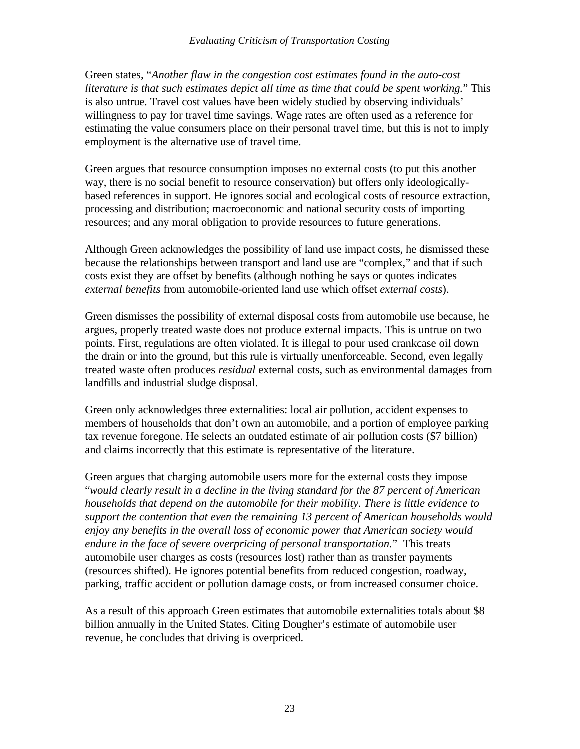Green states, "*Another flaw in the congestion cost estimates found in the auto-cost literature is that such estimates depict all time as time that could be spent working.*" This is also untrue. Travel cost values have been widely studied by observing individuals' willingness to pay for travel time savings. Wage rates are often used as a reference for estimating the value consumers place on their personal travel time, but this is not to imply employment is the alternative use of travel time.

Green argues that resource consumption imposes no external costs (to put this another way, there is no social benefit to resource conservation) but offers only ideologicallybased references in support. He ignores social and ecological costs of resource extraction, processing and distribution; macroeconomic and national security costs of importing resources; and any moral obligation to provide resources to future generations.

Although Green acknowledges the possibility of land use impact costs, he dismissed these because the relationships between transport and land use are "complex," and that if such costs exist they are offset by benefits (although nothing he says or quotes indicates *external benefits* from automobile-oriented land use which offset *external costs*).

Green dismisses the possibility of external disposal costs from automobile use because, he argues, properly treated waste does not produce external impacts. This is untrue on two points. First, regulations are often violated. It is illegal to pour used crankcase oil down the drain or into the ground, but this rule is virtually unenforceable. Second, even legally treated waste often produces *residual* external costs, such as environmental damages from landfills and industrial sludge disposal.

Green only acknowledges three externalities: local air pollution, accident expenses to members of households that don't own an automobile, and a portion of employee parking tax revenue foregone. He selects an outdated estimate of air pollution costs (\$7 billion) and claims incorrectly that this estimate is representative of the literature.

Green argues that charging automobile users more for the external costs they impose "*would clearly result in a decline in the living standard for the 87 percent of American households that depend on the automobile for their mobility. There is little evidence to support the contention that even the remaining 13 percent of American households would enjoy any benefits in the overall loss of economic power that American society would endure in the face of severe overpricing of personal transportation.*" This treats automobile user charges as costs (resources lost) rather than as transfer payments (resources shifted). He ignores potential benefits from reduced congestion, roadway, parking, traffic accident or pollution damage costs, or from increased consumer choice.

As a result of this approach Green estimates that automobile externalities totals about \$8 billion annually in the United States. Citing Dougher's estimate of automobile user revenue, he concludes that driving is overpriced.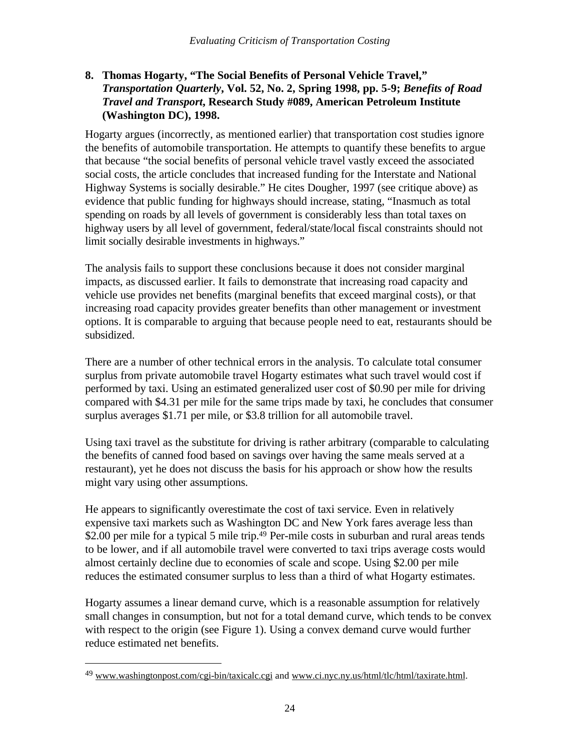## **8. Thomas Hogarty, "The Social Benefits of Personal Vehicle Travel,"** *Transportation Quarterly***, Vol. 52, No. 2, Spring 1998, pp. 5-9;** *Benefits of Road Travel and Transport***, Research Study #089, American Petroleum Institute (Washington DC), 1998.**

Hogarty argues (incorrectly, as mentioned earlier) that transportation cost studies ignore the benefits of automobile transportation. He attempts to quantify these benefits to argue that because "the social benefits of personal vehicle travel vastly exceed the associated social costs, the article concludes that increased funding for the Interstate and National Highway Systems is socially desirable." He cites Dougher, 1997 (see critique above) as evidence that public funding for highways should increase, stating, "Inasmuch as total spending on roads by all levels of government is considerably less than total taxes on highway users by all level of government, federal/state/local fiscal constraints should not limit socially desirable investments in highways."

The analysis fails to support these conclusions because it does not consider marginal impacts, as discussed earlier. It fails to demonstrate that increasing road capacity and vehicle use provides net benefits (marginal benefits that exceed marginal costs), or that increasing road capacity provides greater benefits than other management or investment options. It is comparable to arguing that because people need to eat, restaurants should be subsidized.

There are a number of other technical errors in the analysis. To calculate total consumer surplus from private automobile travel Hogarty estimates what such travel would cost if performed by taxi. Using an estimated generalized user cost of \$0.90 per mile for driving compared with \$4.31 per mile for the same trips made by taxi, he concludes that consumer surplus averages \$1.71 per mile, or \$3.8 trillion for all automobile travel.

Using taxi travel as the substitute for driving is rather arbitrary (comparable to calculating the benefits of canned food based on savings over having the same meals served at a restaurant), yet he does not discuss the basis for his approach or show how the results might vary using other assumptions.

He appears to significantly overestimate the cost of taxi service. Even in relatively expensive taxi markets such as Washington DC and New York fares average less than \$2.00 per mile for a typical 5 mile trip.<sup>49</sup> Per-mile costs in suburban and rural areas tends to be lower, and if all automobile travel were converted to taxi trips average costs would almost certainly decline due to economies of scale and scope. Using \$2.00 per mile reduces the estimated consumer surplus to less than a third of what Hogarty estimates.

Hogarty assumes a linear demand curve, which is a reasonable assumption for relatively small changes in consumption, but not for a total demand curve, which tends to be convex with respect to the origin (see Figure 1). Using a convex demand curve would further reduce estimated net benefits.

<sup>&</sup>lt;sup>49</sup> www.washingtonpost.com/cgi-bin/taxicalc.cgi and www.ci.nyc.ny.us/html/tlc/html/taxirate.html.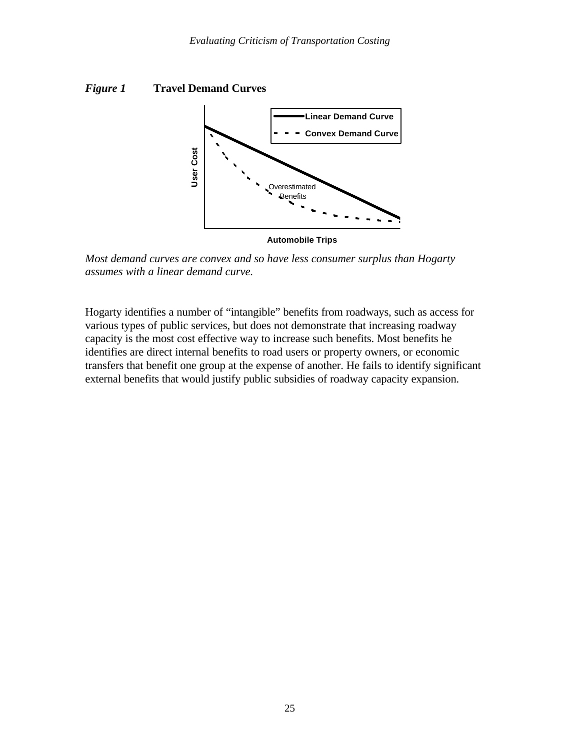



*Most demand curves are convex and so have less consumer surplus than Hogarty assumes with a linear demand curve.*

Hogarty identifies a number of "intangible" benefits from roadways, such as access for various types of public services, but does not demonstrate that increasing roadway capacity is the most cost effective way to increase such benefits. Most benefits he identifies are direct internal benefits to road users or property owners, or economic transfers that benefit one group at the expense of another. He fails to identify significant external benefits that would justify public subsidies of roadway capacity expansion.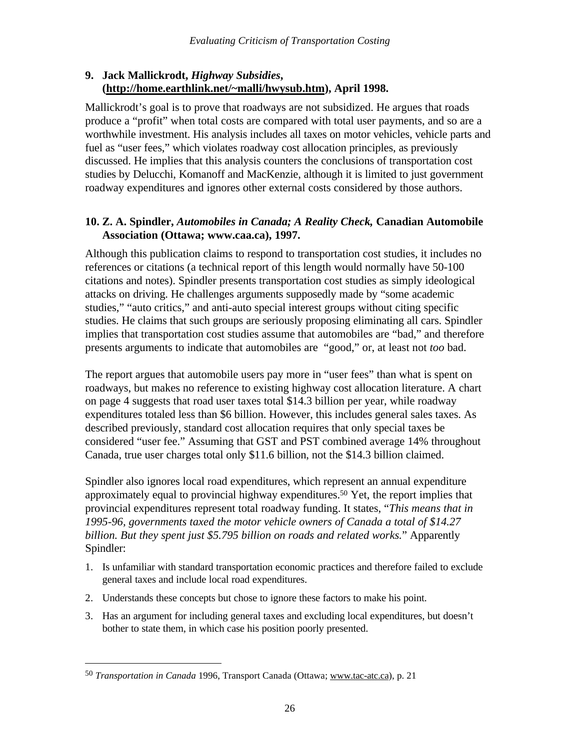## **9. Jack Mallickrodt,** *Highway Subsidies***, (http://home.earthlink.net/~malli/hwysub.htm), April 1998.**

Mallickrodt's goal is to prove that roadways are not subsidized. He argues that roads produce a "profit" when total costs are compared with total user payments, and so are a worthwhile investment. His analysis includes all taxes on motor vehicles, vehicle parts and fuel as "user fees," which violates roadway cost allocation principles, as previously discussed. He implies that this analysis counters the conclusions of transportation cost studies by Delucchi, Komanoff and MacKenzie, although it is limited to just government roadway expenditures and ignores other external costs considered by those authors.

## **10. Z. A. Spindler,** *Automobiles in Canada; A Reality Check,* **Canadian Automobile Association (Ottawa; www.caa.ca), 1997.**

Although this publication claims to respond to transportation cost studies, it includes no references or citations (a technical report of this length would normally have 50-100 citations and notes). Spindler presents transportation cost studies as simply ideological attacks on driving. He challenges arguments supposedly made by "some academic studies," "auto critics," and anti-auto special interest groups without citing specific studies. He claims that such groups are seriously proposing eliminating all cars. Spindler implies that transportation cost studies assume that automobiles are "bad," and therefore presents arguments to indicate that automobiles are "good," or, at least not *too* bad.

The report argues that automobile users pay more in "user fees" than what is spent on roadways, but makes no reference to existing highway cost allocation literature. A chart on page 4 suggests that road user taxes total \$14.3 billion per year, while roadway expenditures totaled less than \$6 billion. However, this includes general sales taxes. As described previously, standard cost allocation requires that only special taxes be considered "user fee." Assuming that GST and PST combined average 14% throughout Canada, true user charges total only \$11.6 billion, not the \$14.3 billion claimed.

Spindler also ignores local road expenditures, which represent an annual expenditure approximately equal to provincial highway expenditures.<sup>50</sup> Yet, the report implies that provincial expenditures represent total roadway funding. It states, "*This means that in 1995-96, governments taxed the motor vehicle owners of Canada a total of \$14.27 billion. But they spent just \$5.795 billion on roads and related works.*" Apparently Spindler:

- 1. Is unfamiliar with standard transportation economic practices and therefore failed to exclude general taxes and include local road expenditures.
- 2. Understands these concepts but chose to ignore these factors to make his point.
- 3. Has an argument for including general taxes and excluding local expenditures, but doesn't bother to state them, in which case his position poorly presented.

<sup>50</sup> *Transportation in Canada* 1996, Transport Canada (Ottawa; www.tac-atc.ca), p. 21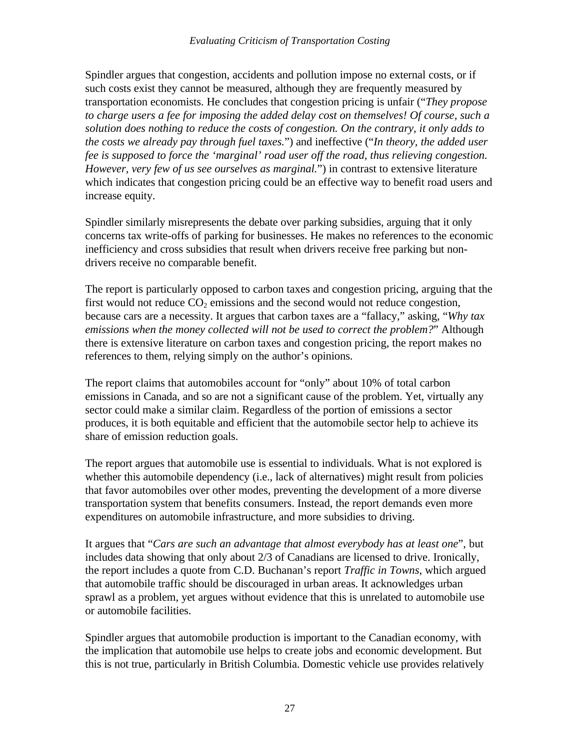Spindler argues that congestion, accidents and pollution impose no external costs, or if such costs exist they cannot be measured, although they are frequently measured by transportation economists. He concludes that congestion pricing is unfair ("*They propose to charge users a fee for imposing the added delay cost on themselves! Of course, such a solution does nothing to reduce the costs of congestion. On the contrary, it only adds to the costs we already pay through fuel taxes.*") and ineffective ("*In theory, the added user fee is supposed to force the 'marginal' road user off the road, thus relieving congestion. However, very few of us see ourselves as marginal.*") in contrast to extensive literature which indicates that congestion pricing could be an effective way to benefit road users and increase equity.

Spindler similarly misrepresents the debate over parking subsidies, arguing that it only concerns tax write-offs of parking for businesses. He makes no references to the economic inefficiency and cross subsidies that result when drivers receive free parking but nondrivers receive no comparable benefit.

The report is particularly opposed to carbon taxes and congestion pricing, arguing that the first would not reduce  $CO<sub>2</sub>$  emissions and the second would not reduce congestion, because cars are a necessity. It argues that carbon taxes are a "fallacy," asking, "*Why tax emissions when the money collected will not be used to correct the problem?*" Although there is extensive literature on carbon taxes and congestion pricing, the report makes no references to them, relying simply on the author's opinions.

The report claims that automobiles account for "only" about 10% of total carbon emissions in Canada, and so are not a significant cause of the problem. Yet, virtually any sector could make a similar claim. Regardless of the portion of emissions a sector produces, it is both equitable and efficient that the automobile sector help to achieve its share of emission reduction goals.

The report argues that automobile use is essential to individuals. What is not explored is whether this automobile dependency (i.e., lack of alternatives) might result from policies that favor automobiles over other modes, preventing the development of a more diverse transportation system that benefits consumers. Instead, the report demands even more expenditures on automobile infrastructure, and more subsidies to driving.

It argues that "*Cars are such an advantage that almost everybody has at least one*", but includes data showing that only about 2/3 of Canadians are licensed to drive. Ironically, the report includes a quote from C.D. Buchanan's report *Traffic in Towns*, which argued that automobile traffic should be discouraged in urban areas. It acknowledges urban sprawl as a problem, yet argues without evidence that this is unrelated to automobile use or automobile facilities.

Spindler argues that automobile production is important to the Canadian economy, with the implication that automobile use helps to create jobs and economic development. But this is not true, particularly in British Columbia. Domestic vehicle use provides relatively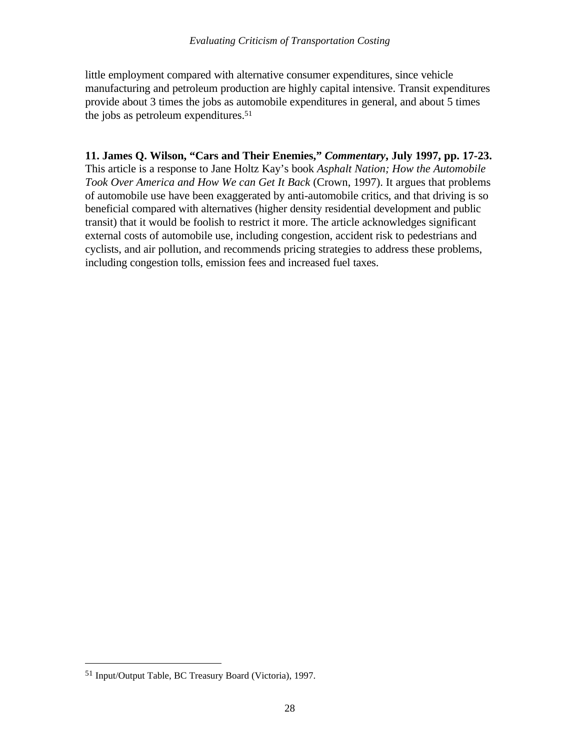little employment compared with alternative consumer expenditures, since vehicle manufacturing and petroleum production are highly capital intensive. Transit expenditures provide about 3 times the jobs as automobile expenditures in general, and about 5 times the jobs as petroleum expenditures.<sup>51</sup>

**11. James Q. Wilson, "Cars and Their Enemies,"** *Commentary***, July 1997, pp. 17-23.** This article is a response to Jane Holtz Kay's book *Asphalt Nation; How the Automobile Took Over America and How We can Get It Back* (Crown, 1997). It argues that problems of automobile use have been exaggerated by anti-automobile critics, and that driving is so beneficial compared with alternatives (higher density residential development and public transit) that it would be foolish to restrict it more. The article acknowledges significant external costs of automobile use, including congestion, accident risk to pedestrians and cyclists, and air pollution, and recommends pricing strategies to address these problems, including congestion tolls, emission fees and increased fuel taxes.

<u>.</u>

<sup>51</sup> Input/Output Table, BC Treasury Board (Victoria), 1997.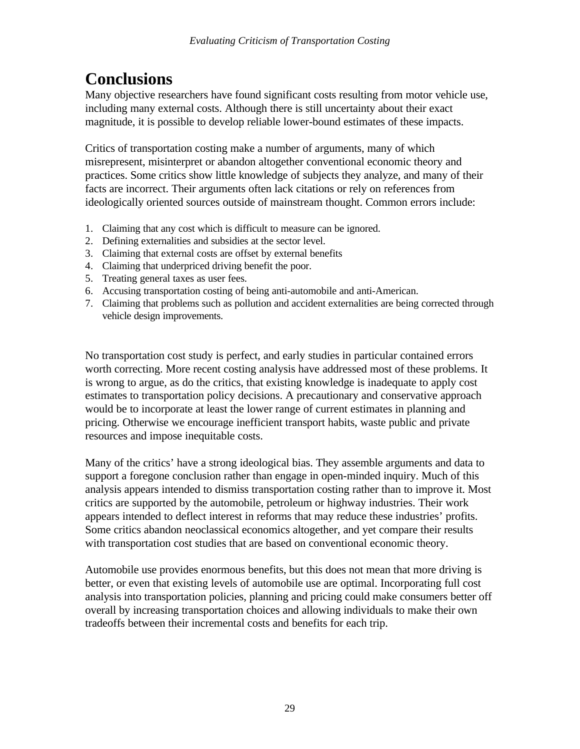# **Conclusions**

Many objective researchers have found significant costs resulting from motor vehicle use, including many external costs. Although there is still uncertainty about their exact magnitude, it is possible to develop reliable lower-bound estimates of these impacts.

Critics of transportation costing make a number of arguments, many of which misrepresent, misinterpret or abandon altogether conventional economic theory and practices. Some critics show little knowledge of subjects they analyze, and many of their facts are incorrect. Their arguments often lack citations or rely on references from ideologically oriented sources outside of mainstream thought. Common errors include:

- 1. Claiming that any cost which is difficult to measure can be ignored.
- 2. Defining externalities and subsidies at the sector level.
- 3. Claiming that external costs are offset by external benefits
- 4. Claiming that underpriced driving benefit the poor.
- 5. Treating general taxes as user fees.
- 6. Accusing transportation costing of being anti-automobile and anti-American.
- 7. Claiming that problems such as pollution and accident externalities are being corrected through vehicle design improvements.

No transportation cost study is perfect, and early studies in particular contained errors worth correcting. More recent costing analysis have addressed most of these problems. It is wrong to argue, as do the critics, that existing knowledge is inadequate to apply cost estimates to transportation policy decisions. A precautionary and conservative approach would be to incorporate at least the lower range of current estimates in planning and pricing. Otherwise we encourage inefficient transport habits, waste public and private resources and impose inequitable costs.

Many of the critics' have a strong ideological bias. They assemble arguments and data to support a foregone conclusion rather than engage in open-minded inquiry. Much of this analysis appears intended to dismiss transportation costing rather than to improve it. Most critics are supported by the automobile, petroleum or highway industries. Their work appears intended to deflect interest in reforms that may reduce these industries' profits. Some critics abandon neoclassical economics altogether, and yet compare their results with transportation cost studies that are based on conventional economic theory.

Automobile use provides enormous benefits, but this does not mean that more driving is better, or even that existing levels of automobile use are optimal. Incorporating full cost analysis into transportation policies, planning and pricing could make consumers better off overall by increasing transportation choices and allowing individuals to make their own tradeoffs between their incremental costs and benefits for each trip.